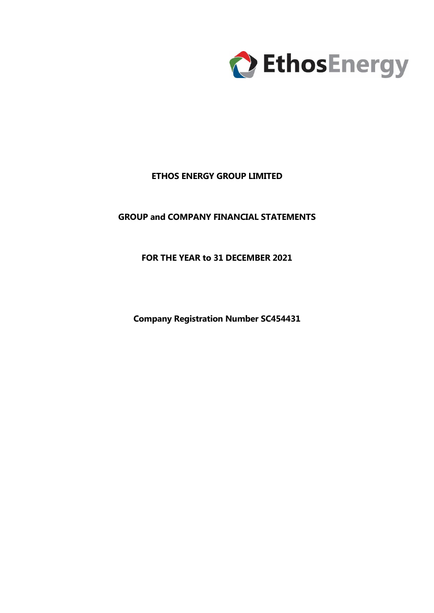

# **ETHOS ENERGY GROUP LIMITED**

# **GROUP and COMPANY FINANCIAL STATEMENTS**

**FOR THE YEAR to 31 DECEMBER 2021**

**Company Registration Number SC454431**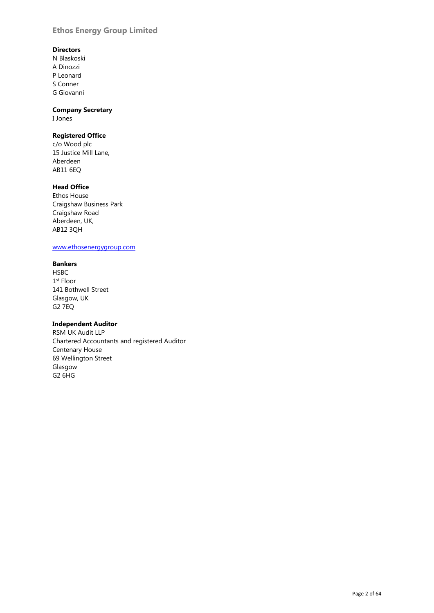# **Ethos Energy Group Limited**

## **Directors**

N Blaskoski A Dinozzi P Leonard S Conner G Giovanni

## **Company Secretary**

I Jones

## **Registered Office**

c/o Wood plc 15 Justice Mill Lane, Aberdeen AB11 6EQ

## **Head Office**

Ethos House Craigshaw Business Park Craigshaw Road Aberdeen, UK, AB12 3QH

## [www.ethosenergygroup.com](http://www.ethosenergygroup.com/)

## **Bankers**

**HSBC** 1 st Floor 141 Bothwell Street Glasgow, UK G2 7EQ

## **Independent Auditor**

RSM UK Audit LLP Chartered Accountants and registered Auditor Centenary House 69 Wellington Street Glasgow G2 6HG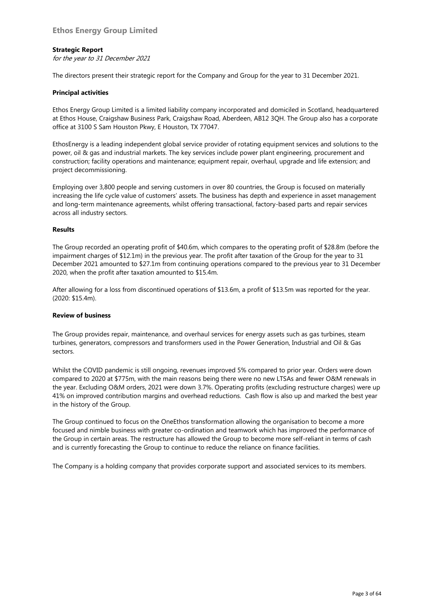## **Ethos Energy Group Limited**

## **Strategic Report**

for the year to 31 December 2021

The directors present their strategic report for the Company and Group for the year to 31 December 2021.

#### **Principal activities**

Ethos Energy Group Limited is a limited liability company incorporated and domiciled in Scotland, headquartered at Ethos House, Craigshaw Business Park, Craigshaw Road, Aberdeen, AB12 3QH. The Group also has a corporate office at 3100 S Sam Houston Pkwy, E Houston, TX 77047.

EthosEnergy is a leading independent global service provider of rotating equipment services and solutions to the power, oil & gas and industrial markets. The key services include power plant engineering, procurement and construction; facility operations and maintenance; equipment repair, overhaul, upgrade and life extension; and project decommissioning.

Employing over 3,800 people and serving customers in over 80 countries, the Group is focused on materially increasing the life cycle value of customers' assets. The business has depth and experience in asset management and long-term maintenance agreements, whilst offering transactional, factory-based parts and repair services across all industry sectors.

#### **Results**

The Group recorded an operating profit of \$40.6m, which compares to the operating profit of \$28.8m (before the impairment charges of \$12.1m) in the previous year. The profit after taxation of the Group for the year to 31 December 2021 amounted to \$27.1m from continuing operations compared to the previous year to 31 December 2020, when the profit after taxation amounted to \$15.4m.

After allowing for a loss from discontinued operations of \$13.6m, a profit of \$13.5m was reported for the year. (2020: \$15.4m).

#### **Review of business**

The Group provides repair, maintenance, and overhaul services for energy assets such as gas turbines, steam turbines, generators, compressors and transformers used in the Power Generation, Industrial and Oil & Gas sectors.

Whilst the COVID pandemic is still ongoing, revenues improved 5% compared to prior year. Orders were down compared to 2020 at \$775m, with the main reasons being there were no new LTSAs and fewer O&M renewals in the year. Excluding O&M orders, 2021 were down 3.7%. Operating profits (excluding restructure charges) were up 41% on improved contribution margins and overhead reductions. Cash flow is also up and marked the best year in the history of the Group.

The Group continued to focus on the OneEthos transformation allowing the organisation to become a more focused and nimble business with greater co-ordination and teamwork which has improved the performance of the Group in certain areas. The restructure has allowed the Group to become more self-reliant in terms of cash and is currently forecasting the Group to continue to reduce the reliance on finance facilities.

The Company is a holding company that provides corporate support and associated services to its members.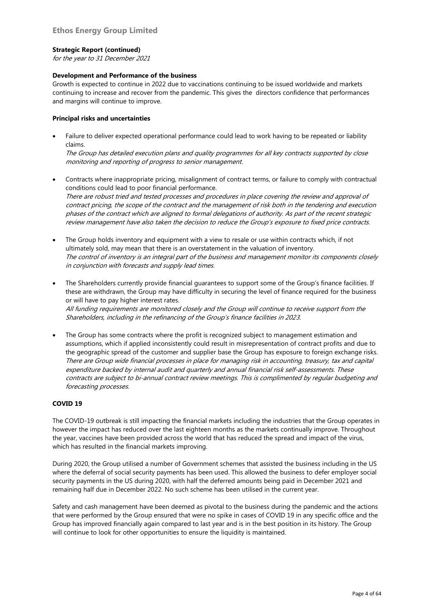## **Strategic Report (continued)**

for the year to 31 December 2021

#### **Development and Performance of the business**

Growth is expected to continue in 2022 due to vaccinations continuing to be issued worldwide and markets continuing to increase and recover from the pandemic. This gives the directors confidence that performances and margins will continue to improve.

#### **Principal risks and uncertainties**

 Failure to deliver expected operational performance could lead to work having to be repeated or liability claims.

The Group has detailed execution plans and quality programmes for all key contracts supported by close monitoring and reporting of progress to senior management.

- Contracts where inappropriate pricing, misalignment of contract terms, or failure to comply with contractual conditions could lead to poor financial performance. There are robust tried and tested processes and procedures in place covering the review and approval of contract pricing, the scope of the contract and the management of risk both in the tendering and execution phases of the contract which are aligned to formal delegations of authority. As part of the recent strategic review management have also taken the decision to reduce the Group's exposure to fixed price contracts.
- The Group holds inventory and equipment with a view to resale or use within contracts which, if not ultimately sold, may mean that there is an overstatement in the valuation of inventory. The control of inventory is an integral part of the business and management monitor its components closely in conjunction with forecasts and supply lead times.
- The Shareholders currently provide financial guarantees to support some of the Group's finance facilities. If these are withdrawn, the Group may have difficulty in securing the level of finance required for the business or will have to pay higher interest rates. All funding requirements are monitored closely and the Group will continue to receive support from the Shareholders, including in the refinancing of the Group's finance facilities in 2023.
- The Group has some contracts where the profit is recognized subject to management estimation and assumptions, which if applied inconsistently could result in misrepresentation of contract profits and due to the geographic spread of the customer and supplier base the Group has exposure to foreign exchange risks. There are Group wide financial processes in place for managing risk in accounting, treasury, tax and capital expenditure backed by internal audit and quarterly and annual financial risk self-assessments. These contracts are subject to bi-annual contract review meetings. This is complimented by regular budgeting and forecasting processes.

## **COVID 19**

The COVID-19 outbreak is still impacting the financial markets including the industries that the Group operates in however the impact has reduced over the last eighteen months as the markets continually improve. Throughout the year, vaccines have been provided across the world that has reduced the spread and impact of the virus, which has resulted in the financial markets improving.

During 2020, the Group utilised a number of Government schemes that assisted the business including in the US where the deferral of social security payments has been used. This allowed the business to defer employer social security payments in the US during 2020, with half the deferred amounts being paid in December 2021 and remaining half due in December 2022. No such scheme has been utilised in the current year.

Safety and cash management have been deemed as pivotal to the business during the pandemic and the actions that were performed by the Group ensured that were no spike in cases of COVID 19 in any specific office and the Group has improved financially again compared to last year and is in the best position in its history. The Group will continue to look for other opportunities to ensure the liquidity is maintained.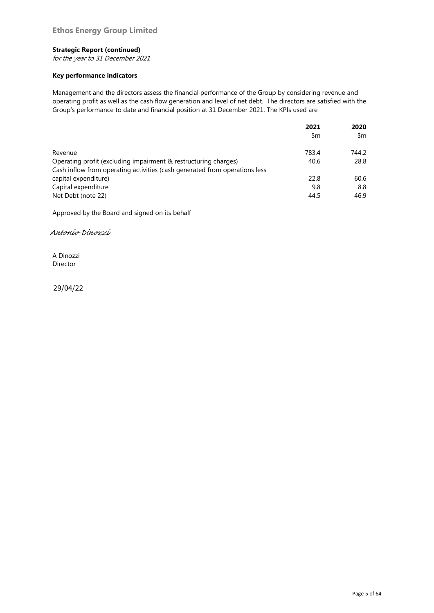## **Strategic Report (continued)**

for the year to 31 December 2021

#### **Key performance indicators**

Management and the directors assess the financial performance of the Group by considering revenue and operating profit as well as the cash flow generation and level of net debt. The directors are satisfied with the Group's performance to date and financial position at 31 December 2021. The KPIs used are

|                                                                            | 2021<br>\$m | 2020<br>\$m |
|----------------------------------------------------------------------------|-------------|-------------|
| Revenue                                                                    | 783.4       | 744.2       |
| Operating profit (excluding impairment & restructuring charges)            | 40.6        | 28.8        |
| Cash inflow from operating activities (cash generated from operations less |             |             |
| capital expenditure)                                                       | 22.8        | 60.6        |
| Capital expenditure                                                        | 9.8         | 8.8         |
| Net Debt (note 22)                                                         | 44.5        | 46.9        |

Approved by the Board and signed on its behalf

[Antonio Dinozzi](https://rsm-uk.eu1.adobesign.com/verifier?tx=CBJCHBCAABAAoCb1J2kaNj9meXQ_qluQIKXuyl-HMJl6)

A Dinozzi Director

29/04/22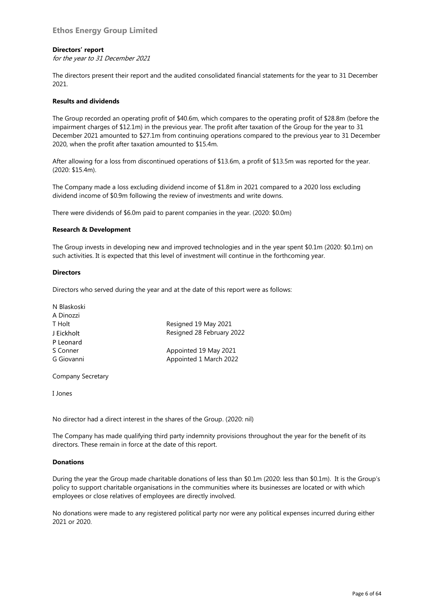## **Ethos Energy Group Limited**

#### **Directors' report**

for the year to 31 December 2021

The directors present their report and the audited consolidated financial statements for the year to 31 December 2021.

#### **Results and dividends**

The Group recorded an operating profit of \$40.6m, which compares to the operating profit of \$28.8m (before the impairment charges of \$12.1m) in the previous year. The profit after taxation of the Group for the year to 31 December 2021 amounted to \$27.1m from continuing operations compared to the previous year to 31 December 2020, when the profit after taxation amounted to \$15.4m.

After allowing for a loss from discontinued operations of \$13.6m, a profit of \$13.5m was reported for the year. (2020: \$15.4m).

The Company made a loss excluding dividend income of \$1.8m in 2021 compared to a 2020 loss excluding dividend income of \$0.9m following the review of investments and write downs.

There were dividends of \$6.0m paid to parent companies in the year. (2020: \$0.0m)

#### **Research & Development**

The Group invests in developing new and improved technologies and in the year spent \$0.1m (2020: \$0.1m) on such activities. It is expected that this level of investment will continue in the forthcoming year.

#### **Directors**

Directors who served during the year and at the date of this report were as follows:

| N Blaskoski |                           |
|-------------|---------------------------|
| A Dinozzi   |                           |
| T Holt      | Resigned 19 May 2021      |
| J Eickholt  | Resigned 28 February 2022 |
| P Leonard   |                           |
| S Conner    | Appointed 19 May 2021     |
| G Giovanni  | Appointed 1 March 2022    |
|             |                           |

Company Secretary

I Jones

No director had a direct interest in the shares of the Group. (2020: nil)

The Company has made qualifying third party indemnity provisions throughout the year for the benefit of its directors. These remain in force at the date of this report.

#### **Donations**

During the year the Group made charitable donations of less than \$0.1m (2020: less than \$0.1m). It is the Group's policy to support charitable organisations in the communities where its businesses are located or with which employees or close relatives of employees are directly involved.

No donations were made to any registered political party nor were any political expenses incurred during either 2021 or 2020.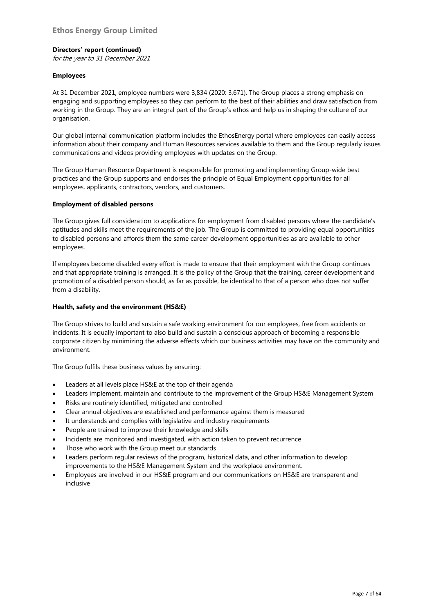for the year to 31 December 2021

## **Employees**

At 31 December 2021, employee numbers were 3,834 (2020: 3,671). The Group places a strong emphasis on engaging and supporting employees so they can perform to the best of their abilities and draw satisfaction from working in the Group. They are an integral part of the Group's ethos and help us in shaping the culture of our organisation.

Our global internal communication platform includes the EthosEnergy portal where employees can easily access information about their company and Human Resources services available to them and the Group regularly issues communications and videos providing employees with updates on the Group.

The Group Human Resource Department is responsible for promoting and implementing Group-wide best practices and the Group supports and endorses the principle of Equal Employment opportunities for all employees, applicants, contractors, vendors, and customers.

#### **Employment of disabled persons**

The Group gives full consideration to applications for employment from disabled persons where the candidate's aptitudes and skills meet the requirements of the job. The Group is committed to providing equal opportunities to disabled persons and affords them the same career development opportunities as are available to other employees.

If employees become disabled every effort is made to ensure that their employment with the Group continues and that appropriate training is arranged. It is the policy of the Group that the training, career development and promotion of a disabled person should, as far as possible, be identical to that of a person who does not suffer from a disability.

#### **Health, safety and the environment (HS&E)**

The Group strives to build and sustain a safe working environment for our employees, free from accidents or incidents. It is equally important to also build and sustain a conscious approach of becoming a responsible corporate citizen by minimizing the adverse effects which our business activities may have on the community and environment.

The Group fulfils these business values by ensuring:

- Leaders at all levels place HS&E at the top of their agenda
- Leaders implement, maintain and contribute to the improvement of the Group HS&E Management System
- Risks are routinely identified, mitigated and controlled
- Clear annual objectives are established and performance against them is measured
- It understands and complies with legislative and industry requirements
- People are trained to improve their knowledge and skills
- Incidents are monitored and investigated, with action taken to prevent recurrence
- Those who work with the Group meet our standards
- Leaders perform regular reviews of the program, historical data, and other information to develop improvements to the HS&E Management System and the workplace environment.
- Employees are involved in our HS&E program and our communications on HS&E are transparent and inclusive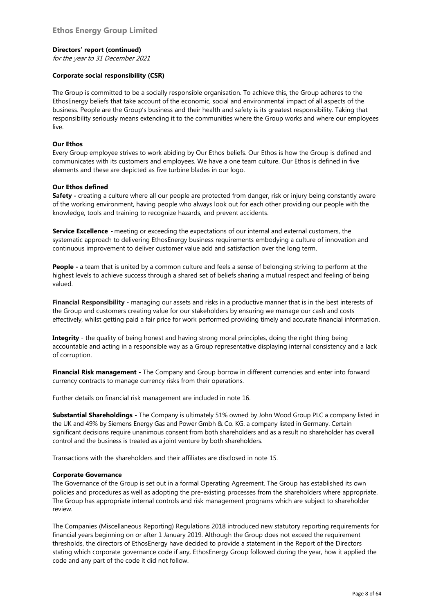for the year to 31 December 2021

## **Corporate social responsibility (CSR)**

The Group is committed to be a socially responsible organisation. To achieve this, the Group adheres to the EthosEnergy beliefs that take account of the economic, social and environmental impact of all aspects of the business. People are the Group's business and their health and safety is its greatest responsibility. Taking that responsibility seriously means extending it to the communities where the Group works and where our employees live.

#### **Our Ethos**

Every Group employee strives to work abiding by Our Ethos beliefs. Our Ethos is how the Group is defined and communicates with its customers and employees. We have a one team culture. Our Ethos is defined in five elements and these are depicted as five turbine blades in our logo.

## **Our Ethos defined**

**Safety -** creating a culture where all our people are protected from danger, risk or injury being constantly aware of the working environment, having people who always look out for each other providing our people with the knowledge, tools and training to recognize hazards, and prevent accidents.

**Service Excellence -** meeting or exceeding the expectations of our internal and external customers, the systematic approach to delivering EthosEnergy business requirements embodying a culture of innovation and continuous improvement to deliver customer value add and satisfaction over the long term.

**People -** a team that is united by a common culture and feels a sense of belonging striving to perform at the highest levels to achieve success through a shared set of beliefs sharing a mutual respect and feeling of being valued.

**Financial Responsibility -** managing our assets and risks in a productive manner that is in the best interests of the Group and customers creating value for our stakeholders by ensuring we manage our cash and costs effectively, whilst getting paid a fair price for work performed providing timely and accurate financial information.

**Integrity -** the quality of being honest and having strong moral principles, doing the right thing being accountable and acting in a responsible way as a Group representative displaying internal consistency and a lack of corruption.

**Financial Risk management -** The Company and Group borrow in different currencies and enter into forward currency contracts to manage currency risks from their operations.

Further details on financial risk management are included in note 16.

**Substantial Shareholdings -** The Company is ultimately 51% owned by John Wood Group PLC a company listed in the UK and 49% by Siemens Energy Gas and Power Gmbh & Co. KG. a company listed in Germany. Certain significant decisions require unanimous consent from both shareholders and as a result no shareholder has overall control and the business is treated as a joint venture by both shareholders.

Transactions with the shareholders and their affiliates are disclosed in note 15.

## **Corporate Governance**

The Governance of the Group is set out in a formal Operating Agreement. The Group has established its own policies and procedures as well as adopting the pre-existing processes from the shareholders where appropriate. The Group has appropriate internal controls and risk management programs which are subject to shareholder review.

The Companies (Miscellaneous Reporting) Regulations 2018 introduced new statutory reporting requirements for financial years beginning on or after 1 January 2019. Although the Group does not exceed the requirement thresholds, the directors of EthosEnergy have decided to provide a statement in the Report of the Directors stating which corporate governance code if any, EthosEnergy Group followed during the year, how it applied the code and any part of the code it did not follow.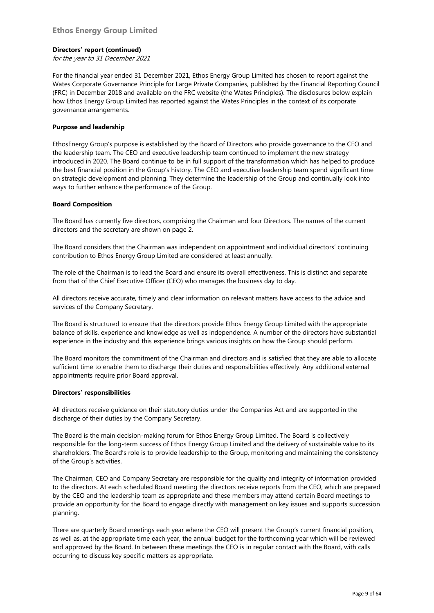for the year to 31 December 2021

For the financial year ended 31 December 2021, Ethos Energy Group Limited has chosen to report against the Wates Corporate Governance Principle for Large Private Companies, published by the Financial Reporting Council (FRC) in December 2018 and available on the FRC website (the Wates Principles). The disclosures below explain how Ethos Energy Group Limited has reported against the Wates Principles in the context of its corporate governance arrangements.

#### **Purpose and leadership**

EthosEnergy Group's purpose is established by the Board of Directors who provide governance to the CEO and the leadership team. The CEO and executive leadership team continued to implement the new strategy introduced in 2020. The Board continue to be in full support of the transformation which has helped to produce the best financial position in the Group's history. The CEO and executive leadership team spend significant time on strategic development and planning. They determine the leadership of the Group and continually look into ways to further enhance the performance of the Group.

#### **Board Composition**

The Board has currently five directors, comprising the Chairman and four Directors. The names of the current directors and the secretary are shown on page 2.

The Board considers that the Chairman was independent on appointment and individual directors' continuing contribution to Ethos Energy Group Limited are considered at least annually.

The role of the Chairman is to lead the Board and ensure its overall effectiveness. This is distinct and separate from that of the Chief Executive Officer (CEO) who manages the business day to day.

All directors receive accurate, timely and clear information on relevant matters have access to the advice and services of the Company Secretary.

The Board is structured to ensure that the directors provide Ethos Energy Group Limited with the appropriate balance of skills, experience and knowledge as well as independence. A number of the directors have substantial experience in the industry and this experience brings various insights on how the Group should perform.

The Board monitors the commitment of the Chairman and directors and is satisfied that they are able to allocate sufficient time to enable them to discharge their duties and responsibilities effectively. Any additional external appointments require prior Board approval.

#### **Directors' responsibilities**

All directors receive guidance on their statutory duties under the Companies Act and are supported in the discharge of their duties by the Company Secretary.

The Board is the main decision-making forum for Ethos Energy Group Limited. The Board is collectively responsible for the long-term success of Ethos Energy Group Limited and the delivery of sustainable value to its shareholders. The Board's role is to provide leadership to the Group, monitoring and maintaining the consistency of the Group's activities.

The Chairman, CEO and Company Secretary are responsible for the quality and integrity of information provided to the directors. At each scheduled Board meeting the directors receive reports from the CEO, which are prepared by the CEO and the leadership team as appropriate and these members may attend certain Board meetings to provide an opportunity for the Board to engage directly with management on key issues and supports succession planning.

There are quarterly Board meetings each year where the CEO will present the Group's current financial position, as well as, at the appropriate time each year, the annual budget for the forthcoming year which will be reviewed and approved by the Board. In between these meetings the CEO is in regular contact with the Board, with calls occurring to discuss key specific matters as appropriate.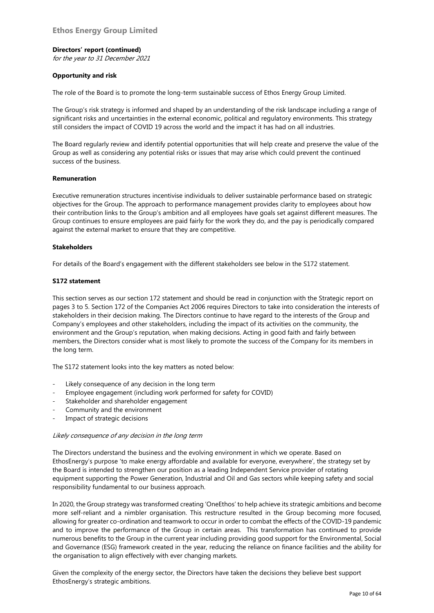for the year to 31 December 2021

## **Opportunity and risk**

The role of the Board is to promote the long-term sustainable success of Ethos Energy Group Limited.

The Group's risk strategy is informed and shaped by an understanding of the risk landscape including a range of significant risks and uncertainties in the external economic, political and regulatory environments. This strategy still considers the impact of COVID 19 across the world and the impact it has had on all industries.

The Board regularly review and identify potential opportunities that will help create and preserve the value of the Group as well as considering any potential risks or issues that may arise which could prevent the continued success of the business.

#### **Remuneration**

Executive remuneration structures incentivise individuals to deliver sustainable performance based on strategic objectives for the Group. The approach to performance management provides clarity to employees about how their contribution links to the Group's ambition and all employees have goals set against different measures. The Group continues to ensure employees are paid fairly for the work they do, and the pay is periodically compared against the external market to ensure that they are competitive.

#### **Stakeholders**

For details of the Board's engagement with the different stakeholders see below in the S172 statement.

#### **S172 statement**

This section serves as our section 172 statement and should be read in conjunction with the Strategic report on pages 3 to 5. Section 172 of the Companies Act 2006 requires Directors to take into consideration the interests of stakeholders in their decision making. The Directors continue to have regard to the interests of the Group and Company's employees and other stakeholders, including the impact of its activities on the community, the environment and the Group's reputation, when making decisions. Acting in good faith and fairly between members, the Directors consider what is most likely to promote the success of the Company for its members in the long term.

The S172 statement looks into the key matters as noted below:

- Likely consequence of any decision in the long term
- Employee engagement (including work performed for safety for COVID)
- Stakeholder and shareholder engagement
- Community and the environment
- Impact of strategic decisions

### Likely consequence of any decision in the long term

The Directors understand the business and the evolving environment in which we operate. Based on EthosEnergy's purpose 'to make energy affordable and available for everyone, everywhere', the strategy set by the Board is intended to strengthen our position as a leading Independent Service provider of rotating equipment supporting the Power Generation, Industrial and Oil and Gas sectors while keeping safety and social responsibility fundamental to our business approach.

In 2020, the Group strategy was transformed creating 'OneEthos' to help achieve its strategic ambitions and become more self-reliant and a nimbler organisation. This restructure resulted in the Group becoming more focused, allowing for greater co-ordination and teamwork to occur in order to combat the effects of the COVID-19 pandemic and to improve the performance of the Group in certain areas. This transformation has continued to provide numerous benefits to the Group in the current year including providing good support for the Environmental, Social and Governance (ESG) framework created in the year, reducing the reliance on finance facilities and the ability for the organisation to align effectively with ever changing markets.

Given the complexity of the energy sector, the Directors have taken the decisions they believe best support EthosEnergy's strategic ambitions.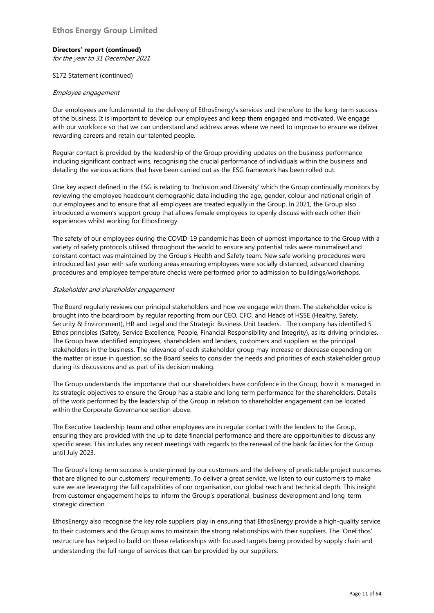for the year to 31 December 2021

S172 Statement (continued)

#### Employee engagement

Our employees are fundamental to the delivery of EthosEnergy's services and therefore to the long-term success of the business. It is important to develop our employees and keep them engaged and motivated. We engage with our workforce so that we can understand and address areas where we need to improve to ensure we deliver rewarding careers and retain our talented people.

Regular contact is provided by the leadership of the Group providing updates on the business performance including significant contract wins, recognising the crucial performance of individuals within the business and detailing the various actions that have been carried out as the ESG framework has been rolled out.

One key aspect defined in the ESG is relating to 'Inclusion and Diversity' which the Group continually monitors by reviewing the employee headcount demographic data including the age, gender, colour and national origin of our employees and to ensure that all employees are treated equally in the Group. In 2021, the Group also introduced a women's support group that allows female employees to openly discuss with each other their experiences whilst working for EthosEnergy

The safety of our employees during the COVID-19 pandemic has been of upmost importance to the Group with a variety of safety protocols utilised throughout the world to ensure any potential risks were minimalised and constant contact was maintained by the Group's Health and Safety team. New safe working procedures were introduced last year with safe working areas ensuring employees were socially distanced, advanced cleaning procedures and employee temperature checks were performed prior to admission to buildings/workshops.

#### Stakeholder and shareholder engagement

The Board regularly reviews our principal stakeholders and how we engage with them. The stakeholder voice is brought into the boardroom by regular reporting from our CEO, CFO, and Heads of HSSE (Healthy, Safety, Security & Environment), HR and Legal and the Strategic Business Unit Leaders. The company has identified 5 Ethos principles (Safety, Service Excellence, People, Financial Responsibility and Integrity), as its driving principles. The Group have identified employees, shareholders and lenders, customers and suppliers as the principal stakeholders in the business. The relevance of each stakeholder group may increase or decrease depending on the matter or issue in question, so the Board seeks to consider the needs and priorities of each stakeholder group during its discussions and as part of its decision making.

The Group understands the importance that our shareholders have confidence in the Group, how it is managed in its strategic objectives to ensure the Group has a stable and long term performance for the shareholders. Details of the work performed by the leadership of the Group in relation to shareholder engagement can be located within the Corporate Governance section above.

The Executive Leadership team and other employees are in regular contact with the lenders to the Group, ensuring they are provided with the up to date financial performance and there are opportunities to discuss any specific areas. This includes any recent meetings with regards to the renewal of the bank facilities for the Group until July 2023.

The Group's long-term success is underpinned by our customers and the delivery of predictable project outcomes that are aligned to our customers' requirements. To deliver a great service, we listen to our customers to make sure we are leveraging the full capabilities of our organisation, our global reach and technical depth. This insight from customer engagement helps to inform the Group's operational, business development and long-term strategic direction.

EthosEnergy also recognise the key role suppliers play in ensuring that EthosEnergy provide a high-quality service to their customers and the Group aims to maintain the strong relationships with their suppliers. The 'OneEthos' restructure has helped to build on these relationships with focused targets being provided by supply chain and understanding the full range of services that can be provided by our suppliers.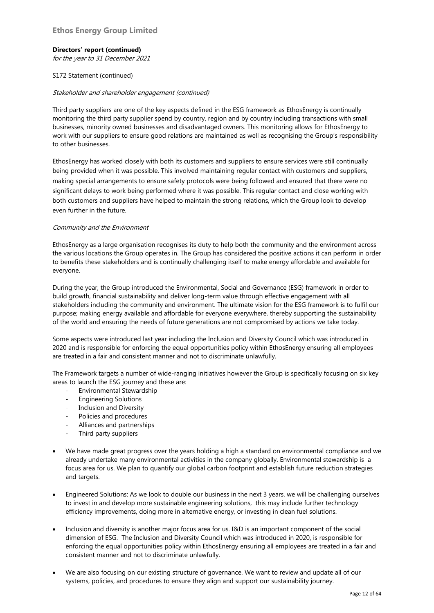for the year to 31 December 2021

#### S172 Statement (continued)

### Stakeholder and shareholder engagement (continued)

Third party suppliers are one of the key aspects defined in the ESG framework as EthosEnergy is continually monitoring the third party supplier spend by country, region and by country including transactions with small businesses, minority owned businesses and disadvantaged owners. This monitoring allows for EthosEnergy to work with our suppliers to ensure good relations are maintained as well as recognising the Group's responsibility to other businesses.

EthosEnergy has worked closely with both its customers and suppliers to ensure services were still continually being provided when it was possible. This involved maintaining regular contact with customers and suppliers, making special arrangements to ensure safety protocols were being followed and ensured that there were no significant delays to work being performed where it was possible. This regular contact and close working with both customers and suppliers have helped to maintain the strong relations, which the Group look to develop even further in the future.

### Community and the Environment

EthosEnergy as a large organisation recognises its duty to help both the community and the environment across the various locations the Group operates in. The Group has considered the positive actions it can perform in order to benefits these stakeholders and is continually challenging itself to make energy affordable and available for everyone.

During the year, the Group introduced the Environmental, Social and Governance (ESG) framework in order to build growth, financial sustainability and deliver long-term value through effective engagement with all stakeholders including the community and environment. The ultimate vision for the ESG framework is to fulfil our purpose; making energy available and affordable for everyone everywhere, thereby supporting the sustainability of the world and ensuring the needs of future generations are not compromised by actions we take today.

Some aspects were introduced last year including the Inclusion and Diversity Council which was introduced in 2020 and is responsible for enforcing the equal opportunities policy within EthosEnergy ensuring all employees are treated in a fair and consistent manner and not to discriminate unlawfully.

The Framework targets a number of wide-ranging initiatives however the Group is specifically focusing on six key areas to launch the ESG journey and these are:

- Environmental Stewardship
- Engineering Solutions
- Inclusion and Diversity
- Policies and procedures
- Alliances and partnerships
- Third party suppliers
- We have made great progress over the years holding a high a standard on environmental compliance and we already undertake many environmental activities in the company globally. Environmental stewardship is a focus area for us. We plan to quantify our global carbon footprint and establish future reduction strategies and targets.
- Engineered Solutions: As we look to double our business in the next 3 years, we will be challenging ourselves to invest in and develop more sustainable engineering solutions, this may include further technology efficiency improvements, doing more in alternative energy, or investing in clean fuel solutions.
- Inclusion and diversity is another major focus area for us. I&D is an important component of the social dimension of ESG. The Inclusion and Diversity Council which was introduced in 2020, is responsible for enforcing the equal opportunities policy within EthosEnergy ensuring all employees are treated in a fair and consistent manner and not to discriminate unlawfully.
- We are also focusing on our existing structure of governance. We want to review and update all of our systems, policies, and procedures to ensure they align and support our sustainability journey.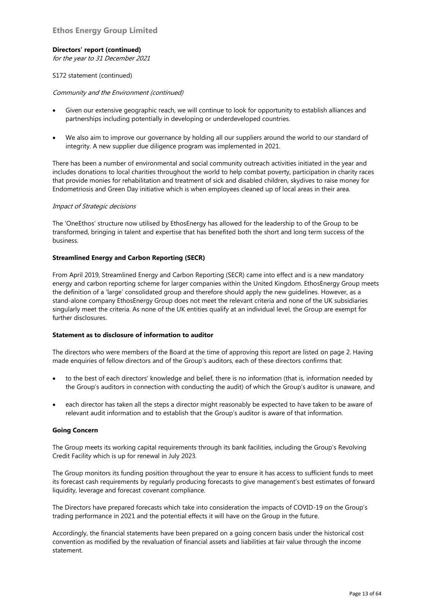for the year to 31 December 2021

S172 statement (continued)

Community and the Environment (continued)

- Given our extensive geographic reach, we will continue to look for opportunity to establish alliances and partnerships including potentially in developing or underdeveloped countries.
- We also aim to improve our governance by holding all our suppliers around the world to our standard of integrity. A new supplier due diligence program was implemented in 2021.

There has been a number of environmental and social community outreach activities initiated in the year and includes donations to local charities throughout the world to help combat poverty, participation in charity races that provide monies for rehabilitation and treatment of sick and disabled children, skydives to raise money for Endometriosis and Green Day initiative which is when employees cleaned up of local areas in their area.

#### Impact of Strategic decisions

The 'OneEthos' structure now utilised by EthosEnergy has allowed for the leadership to of the Group to be transformed, bringing in talent and expertise that has benefited both the short and long term success of the business.

#### **Streamlined Energy and Carbon Reporting (SECR)**

From April 2019, Streamlined Energy and Carbon Reporting (SECR) came into effect and is a new mandatory energy and carbon reporting scheme for larger companies within the United Kingdom. EthosEnergy Group meets the definition of a 'large' consolidated group and therefore should apply the new guidelines. However, as a stand-alone company EthosEnergy Group does not meet the relevant criteria and none of the UK subsidiaries singularly meet the criteria. As none of the UK entities qualify at an individual level, the Group are exempt for further disclosures.

#### **Statement as to disclosure of information to auditor**

The directors who were members of the Board at the time of approving this report are listed on page 2. Having made enquiries of fellow directors and of the Group's auditors, each of these directors confirms that:

- to the best of each directors' knowledge and belief, there is no information (that is, information needed by the Group's auditors in connection with conducting the audit) of which the Group's auditor is unaware, and
- each director has taken all the steps a director might reasonably be expected to have taken to be aware of relevant audit information and to establish that the Group's auditor is aware of that information.

#### **Going Concern**

The Group meets its working capital requirements through its bank facilities, including the Group's Revolving Credit Facility which is up for renewal in July 2023.

The Group monitors its funding position throughout the year to ensure it has access to sufficient funds to meet its forecast cash requirements by regularly producing forecasts to give management's best estimates of forward liquidity, leverage and forecast covenant compliance.

The Directors have prepared forecasts which take into consideration the impacts of COVID-19 on the Group's trading performance in 2021 and the potential effects it will have on the Group in the future.

Accordingly, the financial statements have been prepared on a going concern basis under the historical cost convention as modified by the revaluation of financial assets and liabilities at fair value through the income statement.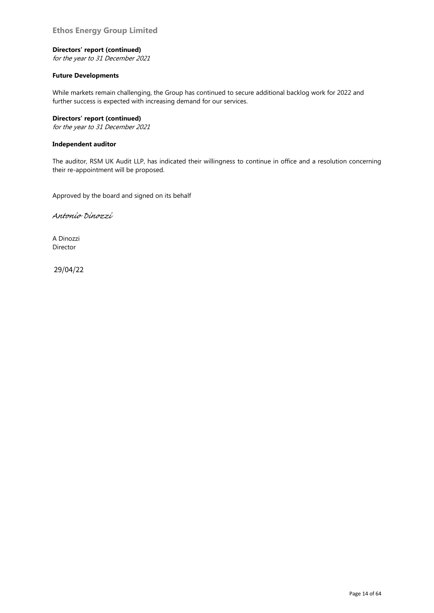for the year to 31 December 2021

#### **Future Developments**

While markets remain challenging, the Group has continued to secure additional backlog work for 2022 and further success is expected with increasing demand for our services.

#### **Directors' report (continued)**

for the year to 31 December 2021

### **Independent auditor**

The auditor, RSM UK Audit LLP, has indicated their willingness to continue in office and a resolution concerning their re-appointment will be proposed.

Approved by the board and signed on its behalf

[Antonio Dinozzi](https://rsm-uk.eu1.adobesign.com/verifier?tx=CBJCHBCAABAAoCb1J2kaNj9meXQ_qluQIKXuyl-HMJl6)

A Dinozzi Director

29/04/22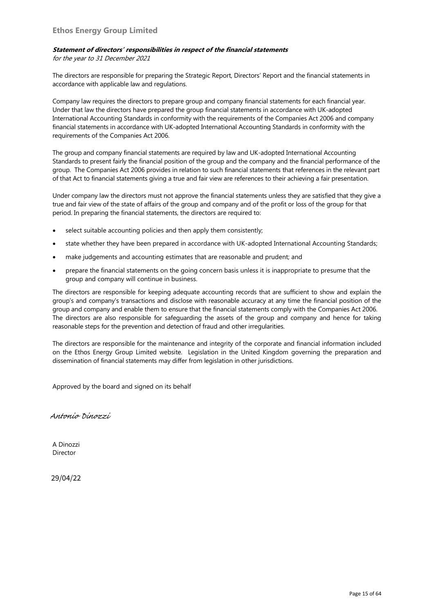## **Statement of directors' responsibilities in respect of the financial statements**

for the year to 31 December 2021

The directors are responsible for preparing the Strategic Report, Directors' Report and the financial statements in accordance with applicable law and regulations.

Company law requires the directors to prepare group and company financial statements for each financial year. Under that law the directors have prepared the group financial statements in accordance with UK-adopted International Accounting Standards in conformity with the requirements of the Companies Act 2006 and company financial statements in accordance with UK-adopted International Accounting Standards in conformity with the requirements of the Companies Act 2006.

The group and company financial statements are required by law and UK-adopted International Accounting Standards to present fairly the financial position of the group and the company and the financial performance of the group. The Companies Act 2006 provides in relation to such financial statements that references in the relevant part of that Act to financial statements giving a true and fair view are references to their achieving a fair presentation.

Under company law the directors must not approve the financial statements unless they are satisfied that they give a true and fair view of the state of affairs of the group and company and of the profit or loss of the group for that period. In preparing the financial statements, the directors are required to:

- select suitable accounting policies and then apply them consistently;
- state whether they have been prepared in accordance with UK-adopted International Accounting Standards;
- make judgements and accounting estimates that are reasonable and prudent; and
- prepare the financial statements on the going concern basis unless it is inappropriate to presume that the group and company will continue in business.

The directors are responsible for keeping adequate accounting records that are sufficient to show and explain the group's and company's transactions and disclose with reasonable accuracy at any time the financial position of the group and company and enable them to ensure that the financial statements comply with the Companies Act 2006. The directors are also responsible for safeguarding the assets of the group and company and hence for taking reasonable steps for the prevention and detection of fraud and other irregularities.

The directors are responsible for the maintenance and integrity of the corporate and financial information included on the Ethos Energy Group Limited website. Legislation in the United Kingdom governing the preparation and dissemination of financial statements may differ from legislation in other jurisdictions.

Approved by the board and signed on its behalf

[Antonio Dinozzi](https://rsm-uk.eu1.adobesign.com/verifier?tx=CBJCHBCAABAAoCb1J2kaNj9meXQ_qluQIKXuyl-HMJl6)

A Dinozzi Director

29/04/22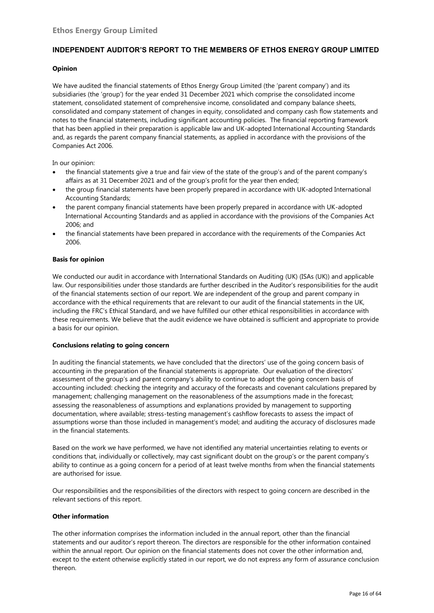## **INDEPENDENT AUDITOR'S REPORT TO THE MEMBERS OF ETHOS ENERGY GROUP LIMITED**

#### **Opinion**

We have audited the financial statements of Ethos Energy Group Limited (the 'parent company') and its subsidiaries (the 'group') for the year ended 31 December 2021 which comprise the consolidated income statement, consolidated statement of comprehensive income, consolidated and company balance sheets, consolidated and company statement of changes in equity, consolidated and company cash flow statements and notes to the financial statements, including significant accounting policies. The financial reporting framework that has been applied in their preparation is applicable law and UK-adopted International Accounting Standards and, as regards the parent company financial statements, as applied in accordance with the provisions of the Companies Act 2006.

In our opinion:

- the financial statements give a true and fair view of the state of the group's and of the parent company's affairs as at 31 December 2021 and of the group's profit for the year then ended;
- the group financial statements have been properly prepared in accordance with UK-adopted International Accounting Standards;
- the parent company financial statements have been properly prepared in accordance with UK-adopted International Accounting Standards and as applied in accordance with the provisions of the Companies Act 2006; and
- the financial statements have been prepared in accordance with the requirements of the Companies Act 2006.

#### **Basis for opinion**

We conducted our audit in accordance with International Standards on Auditing (UK) (ISAs (UK)) and applicable law. Our responsibilities under those standards are further described in the Auditor's responsibilities for the audit of the financial statements section of our report. We are independent of the group and parent company in accordance with the ethical requirements that are relevant to our audit of the financial statements in the UK, including the FRC's Ethical Standard, and we have fulfilled our other ethical responsibilities in accordance with these requirements. We believe that the audit evidence we have obtained is sufficient and appropriate to provide a basis for our opinion.

#### **Conclusions relating to going concern**

In auditing the financial statements, we have concluded that the directors' use of the going concern basis of accounting in the preparation of the financial statements is appropriate. Our evaluation of the directors' assessment of the group's and parent company's ability to continue to adopt the going concern basis of accounting included: checking the integrity and accuracy of the forecasts and covenant calculations prepared by management; challenging management on the reasonableness of the assumptions made in the forecast; assessing the reasonableness of assumptions and explanations provided by management to supporting documentation, where available; stress-testing management's cashflow forecasts to assess the impact of assumptions worse than those included in management's model; and auditing the accuracy of disclosures made in the financial statements.

Based on the work we have performed, we have not identified any material uncertainties relating to events or conditions that, individually or collectively, may cast significant doubt on the group's or the parent company's ability to continue as a going concern for a period of at least twelve months from when the financial statements are authorised for issue.

Our responsibilities and the responsibilities of the directors with respect to going concern are described in the relevant sections of this report.

#### **Other information**

The other information comprises the information included in the annual report, other than the financial statements and our auditor's report thereon. The directors are responsible for the other information contained within the annual report. Our opinion on the financial statements does not cover the other information and, except to the extent otherwise explicitly stated in our report, we do not express any form of assurance conclusion thereon.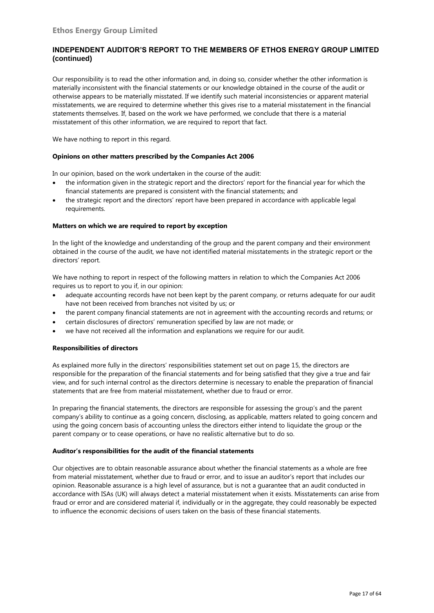## **INDEPENDENT AUDITOR'S REPORT TO THE MEMBERS OF ETHOS ENERGY GROUP LIMITED (continued)**

Our responsibility is to read the other information and, in doing so, consider whether the other information is materially inconsistent with the financial statements or our knowledge obtained in the course of the audit or otherwise appears to be materially misstated. If we identify such material inconsistencies or apparent material misstatements, we are required to determine whether this gives rise to a material misstatement in the financial statements themselves. If, based on the work we have performed, we conclude that there is a material misstatement of this other information, we are required to report that fact.

We have nothing to report in this regard.

### **Opinions on other matters prescribed by the Companies Act 2006**

In our opinion, based on the work undertaken in the course of the audit:

- the information given in the strategic report and the directors' report for the financial year for which the financial statements are prepared is consistent with the financial statements; and
- the strategic report and the directors' report have been prepared in accordance with applicable legal requirements.

#### **Matters on which we are required to report by exception**

In the light of the knowledge and understanding of the group and the parent company and their environment obtained in the course of the audit, we have not identified material misstatements in the strategic report or the directors' report.

We have nothing to report in respect of the following matters in relation to which the Companies Act 2006 requires us to report to you if, in our opinion:

- adequate accounting records have not been kept by the parent company, or returns adequate for our audit have not been received from branches not visited by us; or
- the parent company financial statements are not in agreement with the accounting records and returns; or
- certain disclosures of directors' remuneration specified by law are not made; or
- we have not received all the information and explanations we require for our audit.

## **Responsibilities of directors**

As explained more fully in the directors' responsibilities statement set out on page 15, the directors are responsible for the preparation of the financial statements and for being satisfied that they give a true and fair view, and for such internal control as the directors determine is necessary to enable the preparation of financial statements that are free from material misstatement, whether due to fraud or error.

In preparing the financial statements, the directors are responsible for assessing the group's and the parent company's ability to continue as a going concern, disclosing, as applicable, matters related to going concern and using the going concern basis of accounting unless the directors either intend to liquidate the group or the parent company or to cease operations, or have no realistic alternative but to do so.

### **Auditor's responsibilities for the audit of the financial statements**

Our objectives are to obtain reasonable assurance about whether the financial statements as a whole are free from material misstatement, whether due to fraud or error, and to issue an auditor's report that includes our opinion. Reasonable assurance is a high level of assurance, but is not a guarantee that an audit conducted in accordance with ISAs (UK) will always detect a material misstatement when it exists. Misstatements can arise from fraud or error and are considered material if, individually or in the aggregate, they could reasonably be expected to influence the economic decisions of users taken on the basis of these financial statements.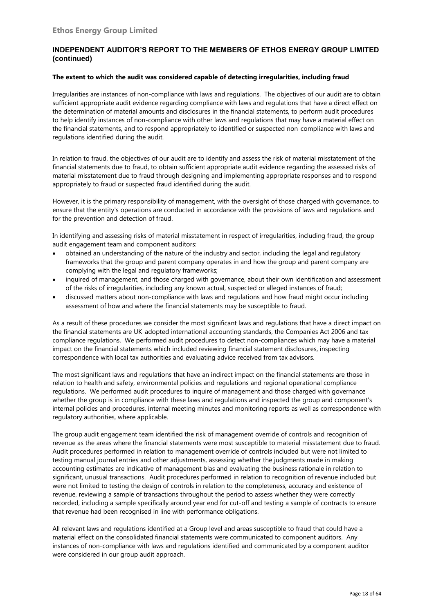## **INDEPENDENT AUDITOR'S REPORT TO THE MEMBERS OF ETHOS ENERGY GROUP LIMITED (continued)**

#### **The extent to which the audit was considered capable of detecting irregularities, including fraud**

Irregularities are instances of non-compliance with laws and regulations. The objectives of our audit are to obtain sufficient appropriate audit evidence regarding compliance with laws and regulations that have a direct effect on the determination of material amounts and disclosures in the financial statements, to perform audit procedures to help identify instances of non-compliance with other laws and regulations that may have a material effect on the financial statements, and to respond appropriately to identified or suspected non-compliance with laws and regulations identified during the audit.

In relation to fraud, the objectives of our audit are to identify and assess the risk of material misstatement of the financial statements due to fraud, to obtain sufficient appropriate audit evidence regarding the assessed risks of material misstatement due to fraud through designing and implementing appropriate responses and to respond appropriately to fraud or suspected fraud identified during the audit.

However, it is the primary responsibility of management, with the oversight of those charged with governance, to ensure that the entity's operations are conducted in accordance with the provisions of laws and regulations and for the prevention and detection of fraud.

In identifying and assessing risks of material misstatement in respect of irregularities, including fraud, the group audit engagement team and component auditors:

- obtained an understanding of the nature of the industry and sector, including the legal and regulatory frameworks that the group and parent company operates in and how the group and parent company are complying with the legal and regulatory frameworks;
- inquired of management, and those charged with governance, about their own identification and assessment of the risks of irregularities, including any known actual, suspected or alleged instances of fraud;
- discussed matters about non-compliance with laws and regulations and how fraud might occur including assessment of how and where the financial statements may be susceptible to fraud.

As a result of these procedures we consider the most significant laws and regulations that have a direct impact on the financial statements are UK-adopted international accounting standards, the Companies Act 2006 and tax compliance regulations. We performed audit procedures to detect non-compliances which may have a material impact on the financial statements which included reviewing financial statement disclosures, inspecting correspondence with local tax authorities and evaluating advice received from tax advisors.

The most significant laws and regulations that have an indirect impact on the financial statements are those in relation to health and safety, environmental policies and regulations and regional operational compliance regulations. We performed audit procedures to inquire of management and those charged with governance whether the group is in compliance with these laws and regulations and inspected the group and component's internal policies and procedures, internal meeting minutes and monitoring reports as well as correspondence with regulatory authorities, where applicable.

The group audit engagement team identified the risk of management override of controls and recognition of revenue as the areas where the financial statements were most susceptible to material misstatement due to fraud. Audit procedures performed in relation to management override of controls included but were not limited to testing manual journal entries and other adjustments, assessing whether the judgments made in making accounting estimates are indicative of management bias and evaluating the business rationale in relation to significant, unusual transactions. Audit procedures performed in relation to recognition of revenue included but were not limited to testing the design of controls in relation to the completeness, accuracy and existence of revenue, reviewing a sample of transactions throughout the period to assess whether they were correctly recorded, including a sample specifically around year end for cut-off and testing a sample of contracts to ensure that revenue had been recognised in line with performance obligations.

All relevant laws and regulations identified at a Group level and areas susceptible to fraud that could have a material effect on the consolidated financial statements were communicated to component auditors. Any instances of non-compliance with laws and regulations identified and communicated by a component auditor were considered in our group audit approach.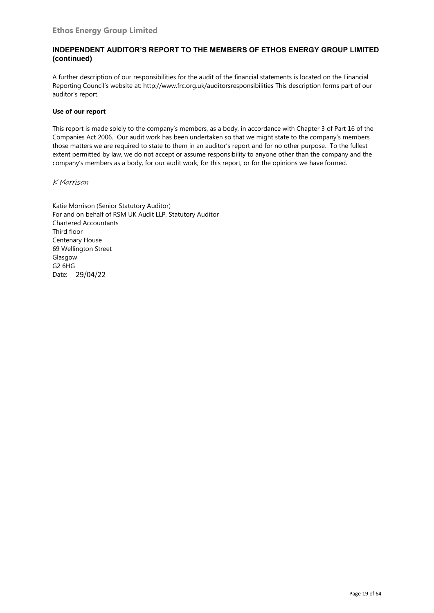## **INDEPENDENT AUDITOR'S REPORT TO THE MEMBERS OF ETHOS ENERGY GROUP LIMITED (continued)**

A further description of our responsibilities for the audit of the financial statements is located on the Financial Reporting Council's website at: http://www.frc.org.uk/auditorsresponsibilities This description forms part of our auditor's report.

## **Use of our report**

This report is made solely to the company's members, as a body, in accordance with Chapter 3 of Part 16 of the Companies Act 2006. Our audit work has been undertaken so that we might state to the company's members those matters we are required to state to them in an auditor's report and for no other purpose. To the fullest extent permitted by law, we do not accept or assume responsibility to anyone other than the company and the company's members as a body, for our audit work, for this report, or for the opinions we have formed.

[K Morrison](https://rsm-uk.eu1.adobesign.com/verifier?tx=CBJCHBCAABAAoCb1J2kaNj9meXQ_qluQIKXuyl-HMJl6)

Katie Morrison (Senior Statutory Auditor) For and on behalf of RSM UK Audit LLP, Statutory Auditor Chartered Accountants Third floor Centenary House 69 Wellington Street Glasgow G2 6HG Date: 29/04/22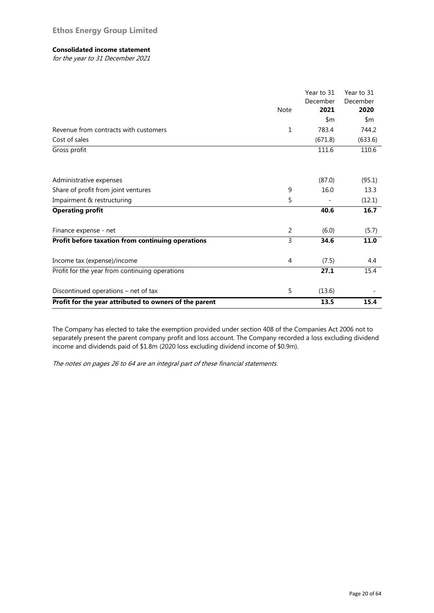## **Consolidated income statement**

for the year to 31 December 2021

|                                                        |              | Year to 31<br>December | Year to 31<br>December |
|--------------------------------------------------------|--------------|------------------------|------------------------|
|                                                        | <b>Note</b>  | 2021                   | 2020                   |
|                                                        |              | \$m                    | \$m                    |
| Revenue from contracts with customers                  | $\mathbf{1}$ | 783.4                  | 744.2                  |
| Cost of sales                                          |              | (671.8)                | (633.6)                |
| Gross profit                                           |              | 111.6                  | 110.6                  |
| Administrative expenses                                |              | (87.0)                 | (95.1)                 |
| Share of profit from joint ventures                    | 9            | 16.0                   | 13.3                   |
| Impairment & restructuring                             | 5            |                        | (12.1)                 |
| <b>Operating profit</b>                                |              | 40.6                   | 16.7                   |
| Finance expense - net                                  | 2            | (6.0)                  | (5.7)                  |
| Profit before taxation from continuing operations      | 3            | 34.6                   | 11.0                   |
| Income tax (expense)/income                            | 4            | (7.5)                  | 4.4                    |
| Profit for the year from continuing operations         |              | 27.1                   | 15.4                   |
| Discontinued operations - net of tax                   | 5            | (13.6)                 |                        |
| Profit for the year attributed to owners of the parent |              | 13.5                   | 15.4                   |

The Company has elected to take the exemption provided under section 408 of the Companies Act 2006 not to separately present the parent company profit and loss account. The Company recorded a loss excluding dividend income and dividends paid of \$1.8m (2020 loss excluding dividend income of \$0.9m).

The notes on pages 26 to 64 are an integral part of these financial statements.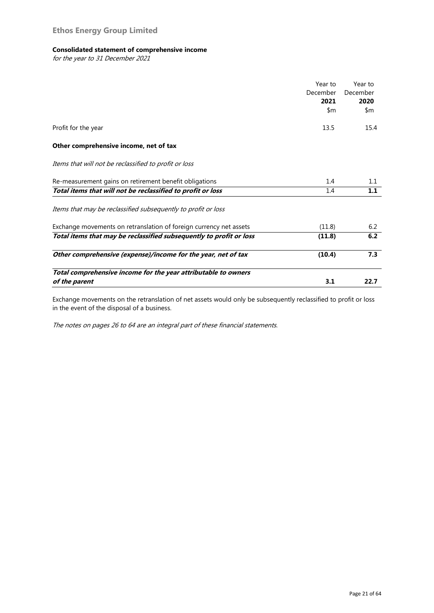## **Consolidated statement of comprehensive income**

for the year to 31 December 2021

|                                                                                 | Year to<br>December<br>2021<br>\$m | Year to<br>December<br>2020<br>\$m |
|---------------------------------------------------------------------------------|------------------------------------|------------------------------------|
| Profit for the year                                                             | 13.5                               | 15.4                               |
| Other comprehensive income, net of tax                                          |                                    |                                    |
| Items that will not be reclassified to profit or loss                           |                                    |                                    |
| Re-measurement gains on retirement benefit obligations                          | 1.4                                | 1.1                                |
| Total items that will not be reclassified to profit or loss                     | 1.4                                | 1.1                                |
| Items that may be reclassified subsequently to profit or loss                   |                                    |                                    |
| Exchange movements on retranslation of foreign currency net assets              | (11.8)                             | 6.2                                |
| Total items that may be reclassified subsequently to profit or loss             | (11.8)                             | 6.2                                |
| Other comprehensive (expense)/income for the year, net of tax                   | (10.4)                             | 7.3                                |
| Total comprehensive income for the year attributable to owners<br>of the parent | 3.1                                | 22.7                               |

Exchange movements on the retranslation of net assets would only be subsequently reclassified to profit or loss in the event of the disposal of a business.

The notes on pages 26 to 64 are an integral part of these financial statements.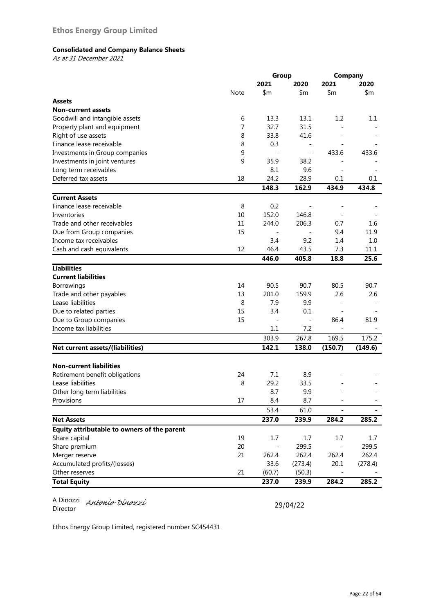## **Consolidated and Company Balance Sheets**

As at 31 December 2021

|                                             |             | Group                    |                              | Company                  |                          |
|---------------------------------------------|-------------|--------------------------|------------------------------|--------------------------|--------------------------|
|                                             |             | 2021                     | 2020                         | 2021                     | 2020                     |
|                                             | <b>Note</b> | \$m                      | \$m                          | \$m                      | \$m                      |
| <b>Assets</b>                               |             |                          |                              |                          |                          |
| <b>Non-current assets</b>                   |             |                          |                              |                          |                          |
| Goodwill and intangible assets              | 6           | 13.3                     | 13.1                         | $1.2\phantom{0}$         | $1.1\,$                  |
| Property plant and equipment                | 7           | 32.7                     | 31.5                         |                          |                          |
| Right of use assets                         | 8           | 33.8                     | 41.6                         |                          |                          |
| Finance lease receivable                    | 8           | 0.3                      | $\overline{\phantom{0}}$     |                          |                          |
| Investments in Group companies              | 9           | $\overline{\phantom{a}}$ | $\qquad \qquad \blacksquare$ | 433.6                    | 433.6                    |
| Investments in joint ventures               | 9           | 35.9                     | 38.2                         |                          |                          |
| Long term receivables                       |             | 8.1                      | 9.6                          |                          |                          |
| Deferred tax assets                         | 18          | 24.2                     | 28.9                         | 0.1                      | 0.1                      |
|                                             |             | 148.3                    | 162.9                        | 434.9                    | 434.8                    |
| <b>Current Assets</b>                       |             |                          |                              |                          |                          |
| Finance lease receivable                    | 8           | 0.2                      |                              |                          |                          |
| Inventories                                 | 10          | 152.0                    | 146.8                        |                          |                          |
| Trade and other receivables                 | 11          | 244.0                    | 206.3                        | 0.7                      | 1.6                      |
| Due from Group companies                    | 15          | $\overline{\phantom{a}}$ |                              | 9.4                      | 11.9                     |
| Income tax receivables                      |             | 3.4                      | 9.2                          | 1.4                      | 1.0                      |
| Cash and cash equivalents                   | 12          | 46.4                     | 43.5                         | 7.3                      | 11.1                     |
|                                             |             | 446.0                    | 405.8                        | 18.8                     | 25.6                     |
| <b>Liabilities</b>                          |             |                          |                              |                          |                          |
| <b>Current liabilities</b>                  |             |                          |                              |                          |                          |
| Borrowings                                  | 14          | 90.5                     | 90.7                         | 80.5                     | 90.7                     |
| Trade and other payables                    | 13          | 201.0                    | 159.9                        | 2.6                      | 2.6                      |
| Lease liabilities                           | 8           | 7.9                      | 9.9                          |                          |                          |
| Due to related parties                      | 15          | 3.4                      | 0.1                          |                          |                          |
| Due to Group companies                      | 15          |                          | $\overline{a}$               | 86.4                     | 81.9                     |
| Income tax liabilities                      |             | 1.1                      | 7.2                          |                          |                          |
|                                             |             | 303.9                    | 267.8                        | 169.5                    | 175.2                    |
| Net current assets/(liabilities)            |             | 142.1                    | 138.0                        | (150.7)                  | (149.6)                  |
|                                             |             |                          |                              |                          |                          |
| <b>Non-current liabilities</b>              |             |                          |                              |                          |                          |
| Retirement benefit obligations              | 24          | 7.1                      | 8.9                          |                          |                          |
| Lease liabilities                           | 8           | 29.2                     | 33.5                         |                          |                          |
| Other long term liabilities                 |             | 8.7                      | 9.9                          |                          |                          |
| Provisions                                  | 1/          | 8.4                      | 8.7                          |                          |                          |
|                                             |             | 53.4                     | 61.0                         | $\overline{\phantom{m}}$ | $\overline{\phantom{a}}$ |
| <b>Net Assets</b>                           |             | 237.0                    | 239.9                        | 284.2                    | 285.2                    |
| Equity attributable to owners of the parent |             |                          |                              |                          |                          |
| Share capital                               | 19          | 1.7                      | 1.7                          | 1.7                      | 1.7                      |
| Share premium                               | 20          | $\overline{a}$           | 299.5                        |                          | 299.5                    |
| Merger reserve                              | 21          | 262.4                    | 262.4                        | 262.4                    | 262.4                    |
| Accumulated profits/(losses)                |             | 33.6                     | (273.4)                      | 20.1                     | (278.4)                  |
| Other reserves                              | 21          | (60.7)                   | (50.3)                       |                          |                          |
| <b>Total Equity</b>                         |             | 237.0                    | 239.9                        | 284.2                    | 285.2                    |
|                                             |             |                          |                              |                          |                          |

A Dinozzi [Antonio Dinozzi](https://rsm-uk.eu1.adobesign.com/verifier?tx=CBJCHBCAABAAoCb1J2kaNj9meXQ_qluQIKXuyl-HMJl6) 29/04/22Director

Ethos Energy Group Limited, registered number SC454431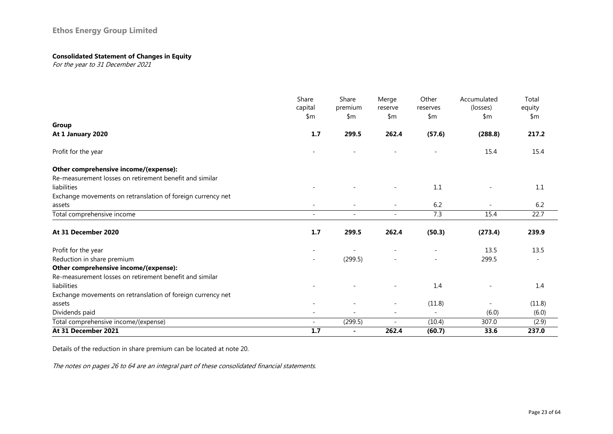## **Consolidated Statement of Changes in Equity**

For the year to 31 December 2021

|                                                             | Share                    | Share                    | Merge                    | Other                    | Accumulated              | Total         |
|-------------------------------------------------------------|--------------------------|--------------------------|--------------------------|--------------------------|--------------------------|---------------|
|                                                             | capital<br>\$m           | premium<br>\$m           | reserve<br>\$m           | reserves<br>\$m          | (losses)<br>\$m          | equity<br>\$m |
| Group                                                       |                          |                          |                          |                          |                          |               |
| At 1 January 2020                                           | 1.7                      | 299.5                    | 262.4                    | (57.6)                   | (288.8)                  | 217.2         |
| Profit for the year                                         |                          |                          |                          |                          | 15.4                     | 15.4          |
| Other comprehensive income/(expense):                       |                          |                          |                          |                          |                          |               |
| Re-measurement losses on retirement benefit and similar     |                          |                          |                          |                          |                          |               |
| liabilities                                                 |                          |                          |                          | 1.1                      |                          | 1.1           |
| Exchange movements on retranslation of foreign currency net |                          |                          |                          |                          |                          |               |
| assets                                                      |                          |                          | $\overline{\phantom{a}}$ | 6.2                      | $\overline{\phantom{a}}$ | 6.2           |
| Total comprehensive income                                  | $\overline{\phantom{a}}$ | $\overline{\phantom{a}}$ | $\overline{\phantom{a}}$ | 7.3                      | 15.4                     | 22.7          |
| At 31 December 2020                                         | 1.7                      | 299.5                    | 262.4                    | (50.3)                   | (273.4)                  | 239.9         |
| Profit for the year                                         |                          |                          |                          |                          | 13.5                     | 13.5          |
| Reduction in share premium                                  | $\overline{\phantom{a}}$ | (299.5)                  |                          |                          | 299.5                    |               |
| Other comprehensive income/(expense):                       |                          |                          |                          |                          |                          |               |
| Re-measurement losses on retirement benefit and similar     |                          |                          |                          |                          |                          |               |
| liabilities                                                 |                          |                          |                          | 1.4                      |                          | 1.4           |
| Exchange movements on retranslation of foreign currency net |                          |                          |                          |                          |                          |               |
| assets                                                      |                          |                          | $\overline{\phantom{a}}$ | (11.8)                   |                          | (11.8)        |
| Dividends paid                                              |                          |                          | $\overline{\phantom{a}}$ | $\overline{\phantom{a}}$ | (6.0)                    | (6.0)         |
| Total comprehensive income/(expense)                        | $\overline{\phantom{a}}$ | (299.5)                  | $\overline{\phantom{a}}$ | (10.4)                   | 307.0                    | (2.9)         |
| At 31 December 2021                                         | 1.7                      | $\blacksquare$           | 262.4                    | (60.7)                   | 33.6                     | 237.0         |

Details of the reduction in share premium can be located at note 20.

The notes on pages 26 to 64 are an integral part of these consolidated financial statements.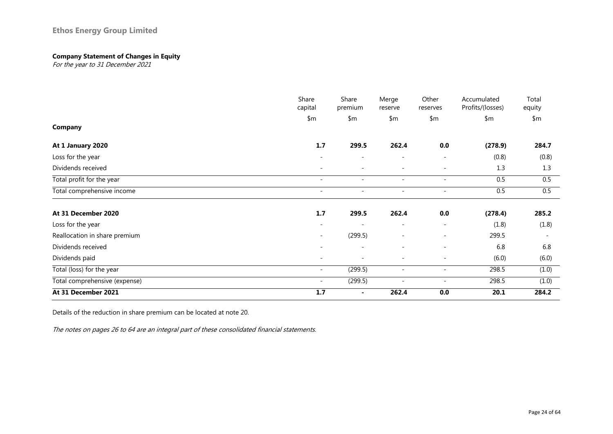## **Company Statement of Changes in Equity**

For the year to 31 December 2021

|                               | Share<br>capital<br>\$m  | Share<br>premium<br>\$m  | Merge<br>reserve<br>\$m\$ | Other<br>reserves<br>\$m | Accumulated<br>Profits/(losses)<br>\$m\$ | Total<br>equity<br>\$m |
|-------------------------------|--------------------------|--------------------------|---------------------------|--------------------------|------------------------------------------|------------------------|
| Company                       |                          |                          |                           |                          |                                          |                        |
| At 1 January 2020             | 1.7                      | 299.5                    | 262.4                     | 0.0                      | (278.9)                                  | 284.7                  |
| Loss for the year             | Ξ.                       |                          | $\overline{\phantom{a}}$  | $\sim$                   | (0.8)                                    | (0.8)                  |
| Dividends received            | $\overline{\phantom{a}}$ | $\overline{\phantom{a}}$ | $\overline{\phantom{a}}$  | $\sim$                   | 1.3                                      | 1.3                    |
| Total profit for the year     | Ξ.                       | $\overline{\phantom{a}}$ | ۰                         | $\sim$                   | 0.5                                      | 0.5                    |
| Total comprehensive income    | $\sim$                   | $\sim$                   | $\sim$                    | $\sim$                   | 0.5                                      | 0.5                    |
| At 31 December 2020           | 1.7                      | 299.5                    | 262.4                     | 0.0                      | (278.4)                                  | 285.2                  |
| Loss for the year             | $\overline{\phantom{a}}$ |                          | $\overline{\phantom{a}}$  | $\sim$                   | (1.8)                                    | (1.8)                  |
| Reallocation in share premium | $\sim$                   | (299.5)                  | $\overline{\phantom{a}}$  | $\sim$                   | 299.5                                    |                        |
| Dividends received            | $\overline{\phantom{0}}$ |                          | $\overline{\phantom{a}}$  | $\sim$                   | 6.8                                      | 6.8                    |
| Dividends paid                | ۰                        |                          | ۰                         | $\overline{\phantom{a}}$ | (6.0)                                    | (6.0)                  |
| Total (loss) for the year     | $\overline{\phantom{a}}$ | (299.5)                  | $\overline{a}$            | $\overline{\phantom{a}}$ | 298.5                                    | (1.0)                  |
| Total comprehensive (expense) | $\sim$                   | (299.5)                  | $\overline{a}$            | $\sim$                   | 298.5                                    | (1.0)                  |
| At 31 December 2021           | $\overline{1.7}$         | $\blacksquare$           | 262.4                     | 0.0                      | 20.1                                     | 284.2                  |

Details of the reduction in share premium can be located at note 20.

The notes on pages 26 to 64 are an integral part of these consolidated financial statements.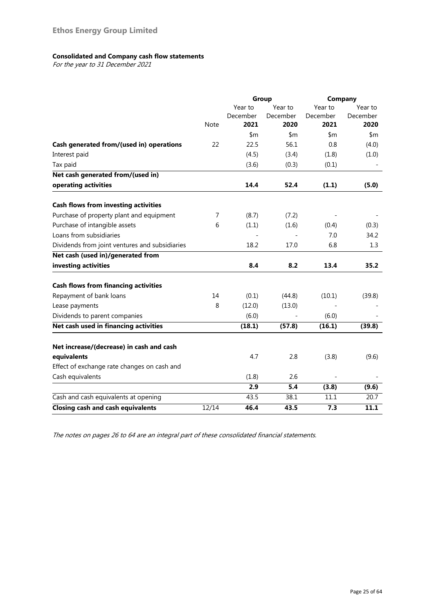## **Consolidated and Company cash flow statements**

For the year to 31 December 2021

|                                                |             | Group    |              | Company      |          |
|------------------------------------------------|-------------|----------|--------------|--------------|----------|
|                                                |             | Year to  | Year to      | Year to      | Year to  |
|                                                |             | December | December     | December     | December |
|                                                | <b>Note</b> | 2021     | 2020         | 2021         | 2020     |
|                                                |             | \$m      | $\mathsf{m}$ | $\mathsf{m}$ | \$m\$    |
| Cash generated from/(used in) operations       | 22          | 22.5     | 56.1         | 0.8          | (4.0)    |
| Interest paid                                  |             | (4.5)    | (3.4)        | (1.8)        | (1.0)    |
| Tax paid                                       |             | (3.6)    | (0.3)        | (0.1)        |          |
| Net cash generated from/(used in)              |             |          |              |              |          |
| operating activities                           |             | 14.4     | 52.4         | (1.1)        | (5.0)    |
| <b>Cash flows from investing activities</b>    |             |          |              |              |          |
| Purchase of property plant and equipment       | 7           | (8.7)    | (7.2)        |              |          |
| Purchase of intangible assets                  | 6           | (1.1)    | (1.6)        | (0.4)        | (0.3)    |
| Loans from subsidiaries                        |             |          |              | 7.0          | 34.2     |
| Dividends from joint ventures and subsidiaries |             | 18.2     | 17.0         | 6.8          | 1.3      |
| Net cash (used in)/generated from              |             |          |              |              |          |
| investing activities                           |             | 8.4      | 8.2          | 13.4         | 35.2     |
| <b>Cash flows from financing activities</b>    |             |          |              |              |          |
| Repayment of bank loans                        | 14          | (0.1)    | (44.8)       | (10.1)       | (39.8)   |
| Lease payments                                 | 8           | (12.0)   | (13.0)       |              |          |
| Dividends to parent companies                  |             | (6.0)    |              | (6.0)        |          |
| Net cash used in financing activities          |             | (18.1)   | (57.8)       | (16.1)       | (39.8)   |
| Net increase/(decrease) in cash and cash       |             |          |              |              |          |
|                                                |             | 4.7      | 2.8          | (3.8)        | (9.6)    |
| equivalents                                    |             |          |              |              |          |
| Effect of exchange rate changes on cash and    |             |          |              |              |          |
| Cash equivalents                               |             | (1.8)    | 2.6          |              |          |
|                                                |             | 2.9      | 5.4          | (3.8)        | (9.6)    |
| Cash and cash equivalents at opening           |             | 43.5     | 38.1         | 11.1         | 20.7     |
| <b>Closing cash and cash equivalents</b>       | 12/14       | 46.4     | 43.5         | 7.3          | 11.1     |

The notes on pages 26 to 64 are an integral part of these consolidated financial statements.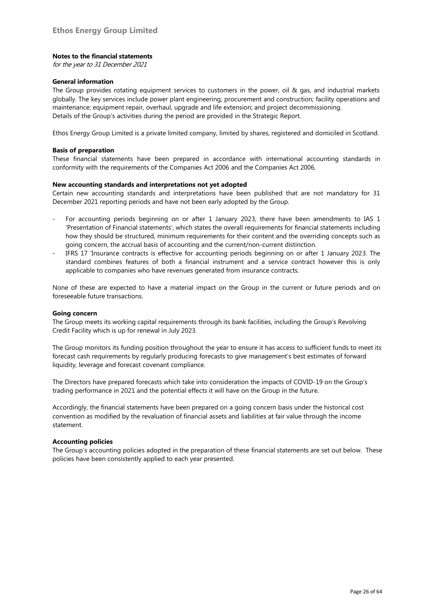### **Notes to the financial statements**

for the year to 31 December 2021

#### **General information**

The Group provides rotating equipment services to customers in the power, oil & gas, and industrial markets globally. The key services include power plant engineering, procurement and construction; facility operations and maintenance; equipment repair, overhaul, upgrade and life extension; and project decommissioning. Details of the Group's activities during the period are provided in the Strategic Report.

Ethos Energy Group Limited is a private limited company, limited by shares, registered and domiciled in Scotland.

#### **Basis of preparation**

These financial statements have been prepared in accordance with international accounting standards in conformity with the requirements of the Companies Act 2006 and the Companies Act 2006.

#### **New accounting standards and interpretations not yet adopted**

Certain new accounting standards and interpretations have been published that are not mandatory for 31 December 2021 reporting periods and have not been early adopted by the Group.

- For accounting periods beginning on or after 1 January 2023, there have been amendments to IAS 1 'Presentation of Financial statements', which states the overall requirements for financial statements including how they should be structured, minimum requirements for their content and the overriding concepts such as going concern, the accrual basis of accounting and the current/non-current distinction.
- IFRS 17 'Insurance contracts is effective for accounting periods beginning on or after 1 January 2023. The standard combines features of both a financial instrument and a service contract however this is only applicable to companies who have revenues generated from insurance contracts.

None of these are expected to have a material impact on the Group in the current or future periods and on foreseeable future transactions.

#### **Going concern**

The Group meets its working capital requirements through its bank facilities, including the Group's Revolving Credit Facility which is up for renewal in July 2023.

The Group monitors its funding position throughout the year to ensure it has access to sufficient funds to meet its forecast cash requirements by regularly producing forecasts to give management's best estimates of forward liquidity, leverage and forecast covenant compliance.

The Directors have prepared forecasts which take into consideration the impacts of COVID-19 on the Group's trading performance in 2021 and the potential effects it will have on the Group in the future.

Accordingly, the financial statements have been prepared on a going concern basis under the historical cost convention as modified by the revaluation of financial assets and liabilities at fair value through the income statement.

## **Accounting policies**

The Group's accounting policies adopted in the preparation of these financial statements are set out below. These policies have been consistently applied to each year presented.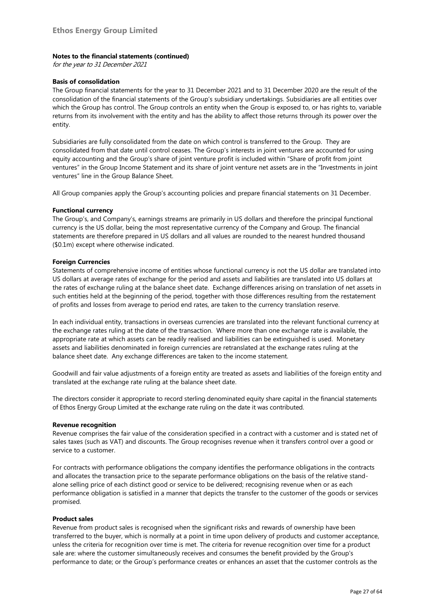for the year to 31 December 2021

#### **Basis of consolidation**

The Group financial statements for the year to 31 December 2021 and to 31 December 2020 are the result of the consolidation of the financial statements of the Group's subsidiary undertakings. Subsidiaries are all entities over which the Group has control. The Group controls an entity when the Group is exposed to, or has rights to, variable returns from its involvement with the entity and has the ability to affect those returns through its power over the entity.

Subsidiaries are fully consolidated from the date on which control is transferred to the Group. They are consolidated from that date until control ceases. The Group's interests in joint ventures are accounted for using equity accounting and the Group's share of joint venture profit is included within "Share of profit from joint ventures" in the Group Income Statement and its share of joint venture net assets are in the "Investments in joint ventures" line in the Group Balance Sheet.

All Group companies apply the Group's accounting policies and prepare financial statements on 31 December.

#### **Functional currency**

The Group's, and Company's, earnings streams are primarily in US dollars and therefore the principal functional currency is the US dollar, being the most representative currency of the Company and Group. The financial statements are therefore prepared in US dollars and all values are rounded to the nearest hundred thousand (\$0.1m) except where otherwise indicated.

#### **Foreign Currencies**

Statements of comprehensive income of entities whose functional currency is not the US dollar are translated into US dollars at average rates of exchange for the period and assets and liabilities are translated into US dollars at the rates of exchange ruling at the balance sheet date. Exchange differences arising on translation of net assets in such entities held at the beginning of the period, together with those differences resulting from the restatement of profits and losses from average to period end rates, are taken to the currency translation reserve.

In each individual entity, transactions in overseas currencies are translated into the relevant functional currency at the exchange rates ruling at the date of the transaction. Where more than one exchange rate is available, the appropriate rate at which assets can be readily realised and liabilities can be extinguished is used. Monetary assets and liabilities denominated in foreign currencies are retranslated at the exchange rates ruling at the balance sheet date. Any exchange differences are taken to the income statement.

Goodwill and fair value adjustments of a foreign entity are treated as assets and liabilities of the foreign entity and translated at the exchange rate ruling at the balance sheet date.

The directors consider it appropriate to record sterling denominated equity share capital in the financial statements of Ethos Energy Group Limited at the exchange rate ruling on the date it was contributed.

#### **Revenue recognition**

Revenue comprises the fair value of the consideration specified in a contract with a customer and is stated net of sales taxes (such as VAT) and discounts. The Group recognises revenue when it transfers control over a good or service to a customer.

For contracts with performance obligations the company identifies the performance obligations in the contracts and allocates the transaction price to the separate performance obligations on the basis of the relative standalone selling price of each distinct good or service to be delivered; recognising revenue when or as each performance obligation is satisfied in a manner that depicts the transfer to the customer of the goods or services promised.

#### **Product sales**

Revenue from product sales is recognised when the significant risks and rewards of ownership have been transferred to the buyer, which is normally at a point in time upon delivery of products and customer acceptance, unless the criteria for recognition over time is met. The criteria for revenue recognition over time for a product sale are: where the customer simultaneously receives and consumes the benefit provided by the Group's performance to date; or the Group's performance creates or enhances an asset that the customer controls as the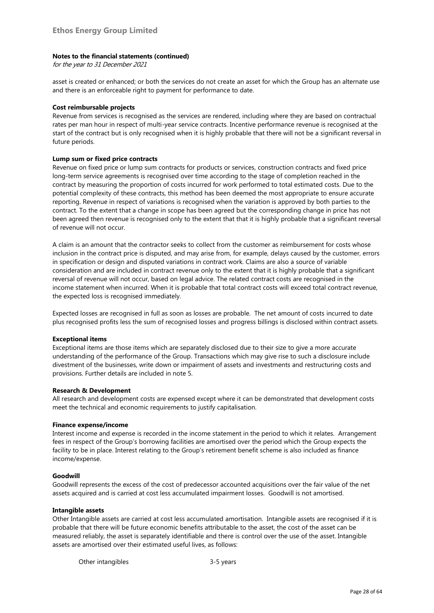for the year to 31 December 2021

asset is created or enhanced; or both the services do not create an asset for which the Group has an alternate use and there is an enforceable right to payment for performance to date.

#### **Cost reimbursable projects**

Revenue from services is recognised as the services are rendered, including where they are based on contractual rates per man hour in respect of multi-year service contracts. Incentive performance revenue is recognised at the start of the contract but is only recognised when it is highly probable that there will not be a significant reversal in future periods.

#### **Lump sum or fixed price contracts**

Revenue on fixed price or lump sum contracts for products or services, construction contracts and fixed price long-term service agreements is recognised over time according to the stage of completion reached in the contract by measuring the proportion of costs incurred for work performed to total estimated costs. Due to the potential complexity of these contracts, this method has been deemed the most appropriate to ensure accurate reporting. Revenue in respect of variations is recognised when the variation is approved by both parties to the contract. To the extent that a change in scope has been agreed but the corresponding change in price has not been agreed then revenue is recognised only to the extent that that it is highly probable that a significant reversal of revenue will not occur.

A claim is an amount that the contractor seeks to collect from the customer as reimbursement for costs whose inclusion in the contract price is disputed, and may arise from, for example, delays caused by the customer, errors in specification or design and disputed variations in contract work. Claims are also a source of variable consideration and are included in contract revenue only to the extent that it is highly probable that a significant reversal of revenue will not occur, based on legal advice. The related contract costs are recognised in the income statement when incurred. When it is probable that total contract costs will exceed total contract revenue, the expected loss is recognised immediately.

Expected losses are recognised in full as soon as losses are probable. The net amount of costs incurred to date plus recognised profits less the sum of recognised losses and progress billings is disclosed within contract assets.

#### **Exceptional items**

Exceptional items are those items which are separately disclosed due to their size to give a more accurate understanding of the performance of the Group. Transactions which may give rise to such a disclosure include divestment of the businesses, write down or impairment of assets and investments and restructuring costs and provisions. Further details are included in note 5.

#### **Research & Development**

All research and development costs are expensed except where it can be demonstrated that development costs meet the technical and economic requirements to justify capitalisation.

#### **Finance expense/income**

Interest income and expense is recorded in the income statement in the period to which it relates. Arrangement fees in respect of the Group's borrowing facilities are amortised over the period which the Group expects the facility to be in place. Interest relating to the Group's retirement benefit scheme is also included as finance income/expense.

#### **Goodwill**

Goodwill represents the excess of the cost of predecessor accounted acquisitions over the fair value of the net assets acquired and is carried at cost less accumulated impairment losses. Goodwill is not amortised.

#### **Intangible assets**

Other Intangible assets are carried at cost less accumulated amortisation. Intangible assets are recognised if it is probable that there will be future economic benefits attributable to the asset, the cost of the asset can be measured reliably, the asset is separately identifiable and there is control over the use of the asset. Intangible assets are amortised over their estimated useful lives, as follows:

Other intangibles 3-5 years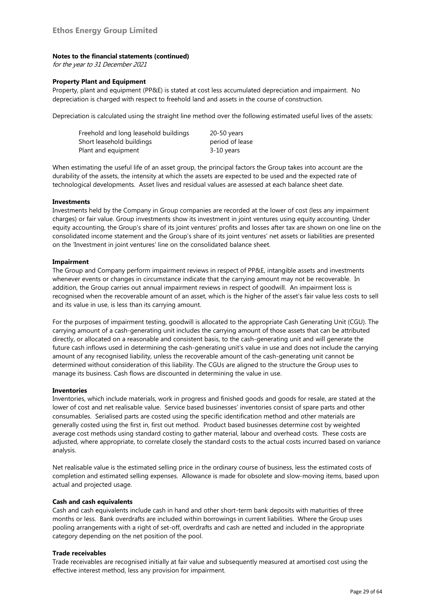for the year to 31 December 2021

#### **Property Plant and Equipment**

Property, plant and equipment (PP&E) is stated at cost less accumulated depreciation and impairment. No depreciation is charged with respect to freehold land and assets in the course of construction.

Depreciation is calculated using the straight line method over the following estimated useful lives of the assets:

| Freehold and long leasehold buildings | $20-50$ years   |
|---------------------------------------|-----------------|
| Short leasehold buildings             | period of lease |
| Plant and equipment                   | 3-10 years      |

When estimating the useful life of an asset group, the principal factors the Group takes into account are the durability of the assets, the intensity at which the assets are expected to be used and the expected rate of technological developments. Asset lives and residual values are assessed at each balance sheet date.

#### **Investments**

Investments held by the Company in Group companies are recorded at the lower of cost (less any impairment charges) or fair value. Group investments show its investment in joint ventures using equity accounting. Under equity accounting, the Group's share of its joint ventures' profits and losses after tax are shown on one line on the consolidated income statement and the Group's share of its joint ventures' net assets or liabilities are presented on the 'Investment in joint ventures' line on the consolidated balance sheet.

#### **Impairment**

The Group and Company perform impairment reviews in respect of PP&E, intangible assets and investments whenever events or changes in circumstance indicate that the carrying amount may not be recoverable. In addition, the Group carries out annual impairment reviews in respect of goodwill. An impairment loss is recognised when the recoverable amount of an asset, which is the higher of the asset's fair value less costs to sell and its value in use, is less than its carrying amount.

For the purposes of impairment testing, goodwill is allocated to the appropriate Cash Generating Unit (CGU). The carrying amount of a cash-generating unit includes the carrying amount of those assets that can be attributed directly, or allocated on a reasonable and consistent basis, to the cash-generating unit and will generate the future cash inflows used in determining the cash-generating unit's value in use and does not include the carrying amount of any recognised liability, unless the recoverable amount of the cash-generating unit cannot be determined without consideration of this liability. The CGUs are aligned to the structure the Group uses to manage its business. Cash flows are discounted in determining the value in use.

#### **Inventories**

Inventories, which include materials, work in progress and finished goods and goods for resale, are stated at the lower of cost and net realisable value. Service based businesses' inventories consist of spare parts and other consumables. Serialised parts are costed using the specific identification method and other materials are generally costed using the first in, first out method. Product based businesses determine cost by weighted average cost methods using standard costing to gather material, labour and overhead costs. These costs are adjusted, where appropriate, to correlate closely the standard costs to the actual costs incurred based on variance analysis.

Net realisable value is the estimated selling price in the ordinary course of business, less the estimated costs of completion and estimated selling expenses. Allowance is made for obsolete and slow-moving items, based upon actual and projected usage.

#### **Cash and cash equivalents**

Cash and cash equivalents include cash in hand and other short-term bank deposits with maturities of three months or less. Bank overdrafts are included within borrowings in current liabilities. Where the Group uses pooling arrangements with a right of set-off, overdrafts and cash are netted and included in the appropriate category depending on the net position of the pool.

#### **Trade receivables**

Trade receivables are recognised initially at fair value and subsequently measured at amortised cost using the effective interest method, less any provision for impairment.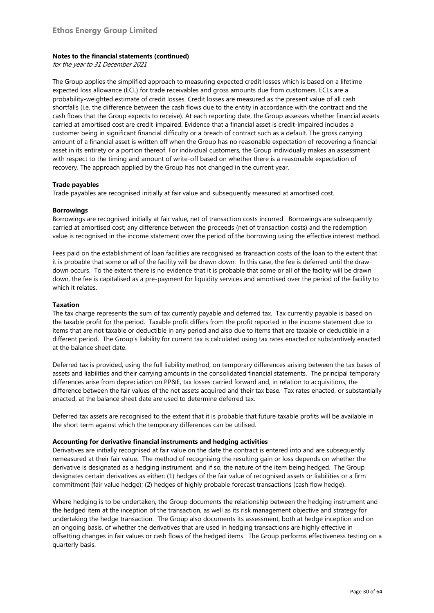for the year to 31 December 2021

The Group applies the simplified approach to measuring expected credit losses which is based on a lifetime expected loss allowance (ECL) for trade receivables and gross amounts due from customers. ECLs are a probability-weighted estimate of credit losses. Credit losses are measured as the present value of all cash shortfalls (i.e. the difference between the cash flows due to the entity in accordance with the contract and the cash flows that the Group expects to receive). At each reporting date, the Group assesses whether financial assets carried at amortised cost are credit-impaired. Evidence that a financial asset is credit-impaired includes a customer being in significant financial difficulty or a breach of contract such as a default. The gross carrying amount of a financial asset is written off when the Group has no reasonable expectation of recovering a financial asset in its entirety or a portion thereof. For individual customers, the Group individually makes an assessment with respect to the timing and amount of write-off based on whether there is a reasonable expectation of recovery. The approach applied by the Group has not changed in the current year.

#### **Trade payables**

Trade payables are recognised initially at fair value and subsequently measured at amortised cost.

#### **Borrowings**

Borrowings are recognised initially at fair value, net of transaction costs incurred. Borrowings are subsequently carried at amortised cost; any difference between the proceeds (net of transaction costs) and the redemption value is recognised in the income statement over the period of the borrowing using the effective interest method.

Fees paid on the establishment of loan facilities are recognised as transaction costs of the loan to the extent that it is probable that some or all of the facility will be drawn down. In this case, the fee is deferred until the drawdown occurs. To the extent there is no evidence that it is probable that some or all of the facility will be drawn down, the fee is capitalised as a pre-payment for liquidity services and amortised over the period of the facility to which it relates.

#### **Taxation**

The tax charge represents the sum of tax currently payable and deferred tax. Tax currently payable is based on the taxable profit for the period. Taxable profit differs from the profit reported in the income statement due to items that are not taxable or deductible in any period and also due to items that are taxable or deductible in a different period. The Group's liability for current tax is calculated using tax rates enacted or substantively enacted at the balance sheet date.

Deferred tax is provided, using the full liability method, on temporary differences arising between the tax bases of assets and liabilities and their carrying amounts in the consolidated financial statements. The principal temporary differences arise from depreciation on PP&E, tax losses carried forward and, in relation to acquisitions, the difference between the fair values of the net assets acquired and their tax base. Tax rates enacted, or substantially enacted, at the balance sheet date are used to determine deferred tax.

Deferred tax assets are recognised to the extent that it is probable that future taxable profits will be available in the short term against which the temporary differences can be utilised.

#### **Accounting for derivative financial instruments and hedging activities**

Derivatives are initially recognised at fair value on the date the contract is entered into and are subsequently remeasured at their fair value. The method of recognising the resulting gain or loss depends on whether the derivative is designated as a hedging instrument, and if so, the nature of the item being hedged. The Group designates certain derivatives as either: (1) hedges of the fair value of recognised assets or liabilities or a firm commitment (fair value hedge); (2) hedges of highly probable forecast transactions (cash flow hedge).

Where hedging is to be undertaken, the Group documents the relationship between the hedging instrument and the hedged item at the inception of the transaction, as well as its risk management objective and strategy for undertaking the hedge transaction. The Group also documents its assessment, both at hedge inception and on an ongoing basis, of whether the derivatives that are used in hedging transactions are highly effective in offsetting changes in fair values or cash flows of the hedged items. The Group performs effectiveness testing on a quarterly basis.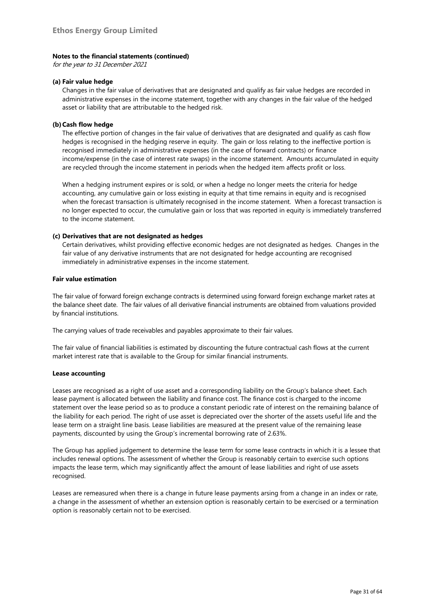for the year to 31 December 2021

#### **(a) Fair value hedge**

Changes in the fair value of derivatives that are designated and qualify as fair value hedges are recorded in administrative expenses in the income statement, together with any changes in the fair value of the hedged asset or liability that are attributable to the hedged risk.

#### **(b)Cash flow hedge**

The effective portion of changes in the fair value of derivatives that are designated and qualify as cash flow hedges is recognised in the hedging reserve in equity. The gain or loss relating to the ineffective portion is recognised immediately in administrative expenses (in the case of forward contracts) or finance income/expense (in the case of interest rate swaps) in the income statement. Amounts accumulated in equity are recycled through the income statement in periods when the hedged item affects profit or loss.

When a hedging instrument expires or is sold, or when a hedge no longer meets the criteria for hedge accounting, any cumulative gain or loss existing in equity at that time remains in equity and is recognised when the forecast transaction is ultimately recognised in the income statement. When a forecast transaction is no longer expected to occur, the cumulative gain or loss that was reported in equity is immediately transferred to the income statement.

#### **(c) Derivatives that are not designated as hedges**

Certain derivatives, whilst providing effective economic hedges are not designated as hedges. Changes in the fair value of any derivative instruments that are not designated for hedge accounting are recognised immediately in administrative expenses in the income statement.

## **Fair value estimation**

The fair value of forward foreign exchange contracts is determined using forward foreign exchange market rates at the balance sheet date. The fair values of all derivative financial instruments are obtained from valuations provided by financial institutions.

The carrying values of trade receivables and payables approximate to their fair values.

The fair value of financial liabilities is estimated by discounting the future contractual cash flows at the current market interest rate that is available to the Group for similar financial instruments.

#### **Lease accounting**

Leases are recognised as a right of use asset and a corresponding liability on the Group's balance sheet. Each lease payment is allocated between the liability and finance cost. The finance cost is charged to the income statement over the lease period so as to produce a constant periodic rate of interest on the remaining balance of the liability for each period. The right of use asset is depreciated over the shorter of the assets useful life and the lease term on a straight line basis. Lease liabilities are measured at the present value of the remaining lease payments, discounted by using the Group's incremental borrowing rate of 2.63%.

The Group has applied judgement to determine the lease term for some lease contracts in which it is a lessee that includes renewal options. The assessment of whether the Group is reasonably certain to exercise such options impacts the lease term, which may significantly affect the amount of lease liabilities and right of use assets recognised.

Leases are remeasured when there is a change in future lease payments arsing from a change in an index or rate, a change in the assessment of whether an extension option is reasonably certain to be exercised or a termination option is reasonably certain not to be exercised.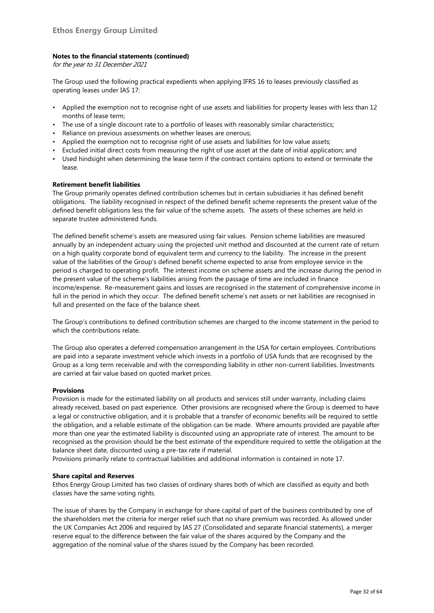for the year to 31 December 2021

The Group used the following practical expedients when applying IFRS 16 to leases previously classified as operating leases under IAS 17:

- Applied the exemption not to recognise right of use assets and liabilities for property leases with less than 12 months of lease term;
- The use of a single discount rate to a portfolio of leases with reasonably similar characteristics;
- Reliance on previous assessments on whether leases are onerous;
- Applied the exemption not to recognise right of use assets and liabilities for low value assets;
- Excluded initial direct costs from measuring the right of use asset at the date of initial application; and
- Used hindsight when determining the lease term if the contract contains options to extend or terminate the lease.

#### **Retirement benefit liabilities**

The Group primarily operates defined contribution schemes but in certain subsidiaries it has defined benefit obligations. The liability recognised in respect of the defined benefit scheme represents the present value of the defined benefit obligations less the fair value of the scheme assets. The assets of these schemes are held in separate trustee administered funds.

The defined benefit scheme's assets are measured using fair values. Pension scheme liabilities are measured annually by an independent actuary using the projected unit method and discounted at the current rate of return on a high quality corporate bond of equivalent term and currency to the liability. The increase in the present value of the liabilities of the Group's defined benefit scheme expected to arise from employee service in the period is charged to operating profit. The interest income on scheme assets and the increase during the period in the present value of the scheme's liabilities arising from the passage of time are included in finance income/expense. Re-measurement gains and losses are recognised in the statement of comprehensive income in full in the period in which they occur. The defined benefit scheme's net assets or net liabilities are recognised in full and presented on the face of the balance sheet.

The Group's contributions to defined contribution schemes are charged to the income statement in the period to which the contributions relate.

The Group also operates a deferred compensation arrangement in the USA for certain employees. Contributions are paid into a separate investment vehicle which invests in a portfolio of USA funds that are recognised by the Group as a long term receivable and with the corresponding liability in other non-current liabilities. Investments are carried at fair value based on quoted market prices.

#### **Provisions**

Provision is made for the estimated liability on all products and services still under warranty, including claims already received, based on past experience. Other provisions are recognised where the Group is deemed to have a legal or constructive obligation, and it is probable that a transfer of economic benefits will be required to settle the obligation, and a reliable estimate of the obligation can be made. Where amounts provided are payable after more than one year the estimated liability is discounted using an appropriate rate of interest. The amount to be recognised as the provision should be the best estimate of the expenditure required to settle the obligation at the balance sheet date, discounted using a pre-tax rate if material.

Provisions primarily relate to contractual liabilities and additional information is contained in note 17.

#### **Share capital and Reserves**

Ethos Energy Group Limited has two classes of ordinary shares both of which are classified as equity and both classes have the same voting rights.

The issue of shares by the Company in exchange for share capital of part of the business contributed by one of the shareholders met the criteria for merger relief such that no share premium was recorded. As allowed under the UK Companies Act 2006 and required by IAS 27 (Consolidated and separate financial statements), a merger reserve equal to the difference between the fair value of the shares acquired by the Company and the aggregation of the nominal value of the shares issued by the Company has been recorded.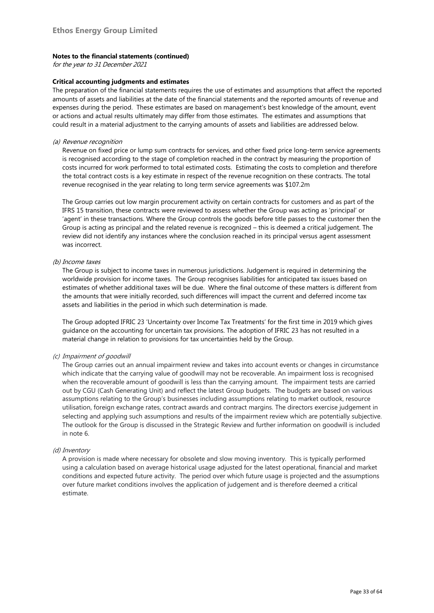for the year to 31 December 2021

#### **Critical accounting judgments and estimates**

The preparation of the financial statements requires the use of estimates and assumptions that affect the reported amounts of assets and liabilities at the date of the financial statements and the reported amounts of revenue and expenses during the period. These estimates are based on management's best knowledge of the amount, event or actions and actual results ultimately may differ from those estimates. The estimates and assumptions that could result in a material adjustment to the carrying amounts of assets and liabilities are addressed below.

#### (a) Revenue recognition

Revenue on fixed price or lump sum contracts for services, and other fixed price long-term service agreements is recognised according to the stage of completion reached in the contract by measuring the proportion of costs incurred for work performed to total estimated costs. Estimating the costs to completion and therefore the total contract costs is a key estimate in respect of the revenue recognition on these contracts. The total revenue recognised in the year relating to long term service agreements was \$107.2m

The Group carries out low margin procurement activity on certain contracts for customers and as part of the IFRS 15 transition, these contracts were reviewed to assess whether the Group was acting as 'principal' or 'agent' in these transactions. Where the Group controls the goods before title passes to the customer then the Group is acting as principal and the related revenue is recognized – this is deemed a critical judgement. The review did not identify any instances where the conclusion reached in its principal versus agent assessment was incorrect.

#### (b) Income taxes

The Group is subject to income taxes in numerous jurisdictions. Judgement is required in determining the worldwide provision for income taxes. The Group recognises liabilities for anticipated tax issues based on estimates of whether additional taxes will be due. Where the final outcome of these matters is different from the amounts that were initially recorded, such differences will impact the current and deferred income tax assets and liabilities in the period in which such determination is made.

The Group adopted IFRIC 23 'Uncertainty over Income Tax Treatments' for the first time in 2019 which gives guidance on the accounting for uncertain tax provisions. The adoption of IFRIC 23 has not resulted in a material change in relation to provisions for tax uncertainties held by the Group.

#### (c) Impairment of goodwill

The Group carries out an annual impairment review and takes into account events or changes in circumstance which indicate that the carrying value of goodwill may not be recoverable. An impairment loss is recognised when the recoverable amount of goodwill is less than the carrying amount. The impairment tests are carried out by CGU (Cash Generating Unit) and reflect the latest Group budgets. The budgets are based on various assumptions relating to the Group's businesses including assumptions relating to market outlook, resource utilisation, foreign exchange rates, contract awards and contract margins. The directors exercise judgement in selecting and applying such assumptions and results of the impairment review which are potentially subjective. The outlook for the Group is discussed in the Strategic Review and further information on goodwill is included in note 6.

## (d) Inventory

A provision is made where necessary for obsolete and slow moving inventory. This is typically performed using a calculation based on average historical usage adjusted for the latest operational, financial and market conditions and expected future activity. The period over which future usage is projected and the assumptions over future market conditions involves the application of judgement and is therefore deemed a critical estimate.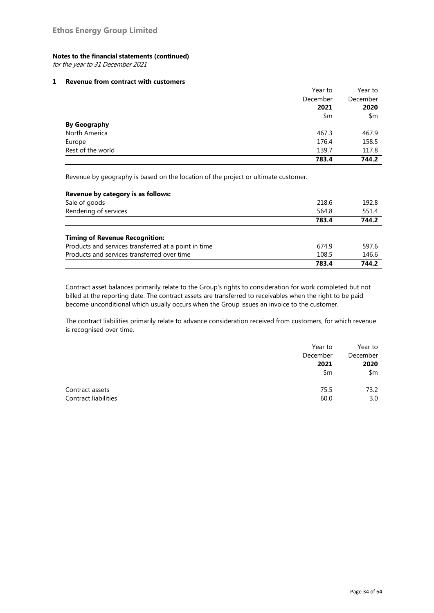for the year to 31 December 2021

#### **1 Revenue from contract with customers**

|                     | Year to  | Year to  |
|---------------------|----------|----------|
|                     | December | December |
|                     | 2021     | 2020     |
|                     | \$m      | \$m      |
| <b>By Geography</b> |          |          |
| North America       | 467.3    | 467.9    |
| Europe              | 176.4    | 158.5    |
| Rest of the world   | 139.7    | 117.8    |
|                     | 783.4    | 744.2    |

Revenue by geography is based on the location of the project or ultimate customer.

| Revenue by category is as follows:                   |       |       |
|------------------------------------------------------|-------|-------|
| Sale of goods                                        | 218.6 | 192.8 |
| Rendering of services                                | 564.8 | 551.4 |
|                                                      | 783.4 | 744.2 |
|                                                      |       |       |
| <b>Timing of Revenue Recognition:</b>                |       |       |
| Products and services transferred at a point in time | 674.9 | 597.6 |
| Products and services transferred over time          | 108.5 | 146.6 |
|                                                      | 783.4 | 744.2 |

Contract asset balances primarily relate to the Group's rights to consideration for work completed but not billed at the reporting date. The contract assets are transferred to receivables when the right to be paid become unconditional which usually occurs when the Group issues an invoice to the customer.

The contract liabilities primarily relate to advance consideration received from customers, for which revenue is recognised over time.

|                      | Year to  | Year to  |
|----------------------|----------|----------|
|                      | December | December |
|                      | 2021     | 2020     |
|                      | \$m      | \$m      |
| Contract assets      | 75.5     | 73.2     |
| Contract liabilities | 60.0     | 3.0      |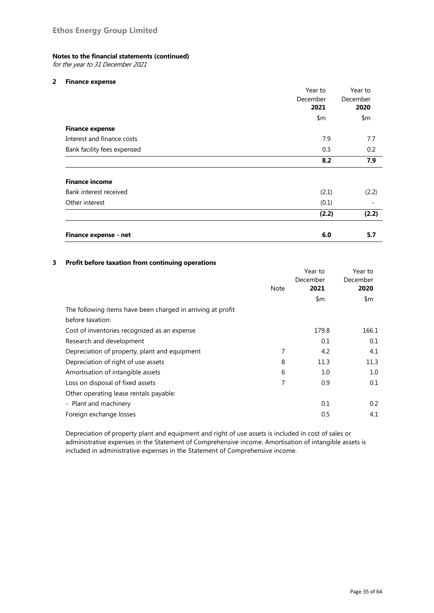for the year to 31 December 2021

### **2 Finance expense**

|                             | Year to  | Year to  |
|-----------------------------|----------|----------|
|                             | December | December |
|                             | 2021     | 2020     |
|                             | \$m      | \$m\$    |
| <b>Finance expense</b>      |          |          |
| Interest and finance costs  | 7.9      | 7.7      |
| Bank facility fees expensed | 0.3      | 0.2      |
|                             | 8.2      | 7.9      |
| <b>Finance income</b>       |          |          |
| Bank interest received      | (2.1)    | (2.2)    |
| Other interest              | (0.1)    |          |
|                             | (2.2)    | (2.2)    |
| Finance expense - net       | 6.0      | 5.7      |

## **3 Profit before taxation from continuing operations**

|                                                             | <b>Note</b> | Year to<br>December<br>2021 | Year to<br>December<br>2020 |
|-------------------------------------------------------------|-------------|-----------------------------|-----------------------------|
|                                                             |             | \$m                         | \$m                         |
| The following items have been charged in arriving at profit |             |                             |                             |
| before taxation:                                            |             |                             |                             |
| Cost of inventories recognized as an expense                |             | 179.8                       | 166.1                       |
| Research and development                                    |             | 0.1                         | 0.1                         |
| Depreciation of property, plant and equipment               | 7           | 4.2                         | 4.1                         |
| Depreciation of right of use assets                         | 8           | 11.3                        | 11.3                        |
| Amortisation of intangible assets                           | 6           | 1.0                         | 1.0                         |
| Loss on disposal of fixed assets                            | 7           | 0.9                         | 0.1                         |
| Other operating lease rentals payable:                      |             |                             |                             |
| - Plant and machinery                                       |             | 0.1                         | 0.2                         |
| Foreign exchange losses                                     |             | 0.5                         | 4.1                         |

Depreciation of property plant and equipment and right of use assets is included in cost of sales or administrative expenses in the Statement of Comprehensive income. Amortisation of intangible assets is included in administrative expenses in the Statement of Comprehensive income.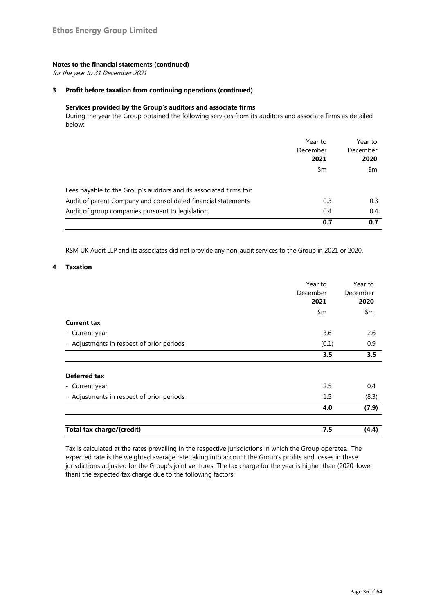for the year to 31 December 2021

## **3 Profit before taxation from continuing operations (continued)**

## **Services provided by the Group's auditors and associate firms**

During the year the Group obtained the following services from its auditors and associate firms as detailed below:

|                                                                    | Year to<br>December<br>2021<br>\$m | Year to<br>December<br>2020<br>\$m |
|--------------------------------------------------------------------|------------------------------------|------------------------------------|
| Fees payable to the Group's auditors and its associated firms for: |                                    |                                    |
| Audit of parent Company and consolidated financial statements      | 0.3                                | 0.3                                |
| Audit of group companies pursuant to legislation                   | 0.4                                | 0.4                                |
|                                                                    | 0.7                                | 0.7                                |

RSM UK Audit LLP and its associates did not provide any non-audit services to the Group in 2021 or 2020.

## **4 Taxation**

|                                           | Year to<br>December | Year to<br>December |
|-------------------------------------------|---------------------|---------------------|
|                                           | 2021<br>\$m         | 2020<br>\$m         |
| <b>Current tax</b>                        |                     |                     |
| - Current year                            | 3.6                 | 2.6                 |
| - Adjustments in respect of prior periods | (0.1)               | 0.9                 |
|                                           | 3.5                 | 3.5                 |
| <b>Deferred tax</b>                       |                     |                     |
| - Current year                            | 2.5                 | 0.4                 |
| - Adjustments in respect of prior periods | 1.5                 | (8.3)               |
|                                           | 4.0                 | (7.9)               |
| <b>Total tax charge/(credit)</b>          | 7.5                 | (4.4)               |

Tax is calculated at the rates prevailing in the respective jurisdictions in which the Group operates. The expected rate is the weighted average rate taking into account the Group's profits and losses in these jurisdictions adjusted for the Group's joint ventures. The tax charge for the year is higher than (2020: lower than) the expected tax charge due to the following factors: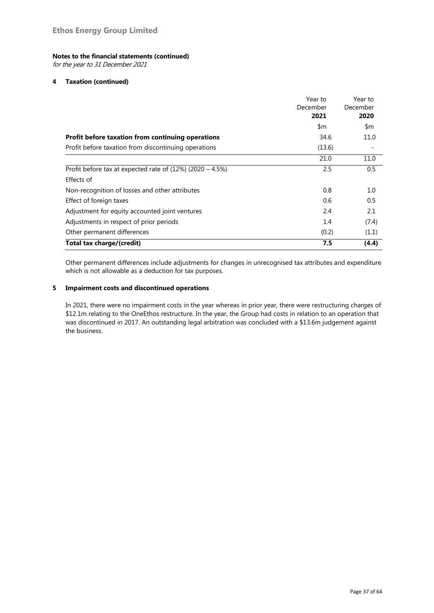for the year to 31 December 2021

#### **4 Taxation (continued)**

|                                                             | Year to  | Year to  |
|-------------------------------------------------------------|----------|----------|
|                                                             | December | December |
|                                                             | 2021     | 2020     |
|                                                             | \$m      | \$m      |
| Profit before taxation from continuing operations           | 34.6     | 11.0     |
| Profit before taxation from discontinuing operations        | (13.6)   |          |
|                                                             | 21.0     | 11.0     |
| Profit before tax at expected rate of $(12%) (2020 - 4.5%)$ | 2.5      | 0.5      |
| Effects of                                                  |          |          |
| Non-recognition of losses and other attributes              | 0.8      | 1.0      |
| Effect of foreign taxes                                     | 0.6      | 0.5      |
| Adjustment for equity accounted joint ventures              | 2.4      | 2.1      |
| Adjustments in respect of prior periods                     | 1.4      | (7.4)    |
| Other permanent differences                                 | (0.2)    | (1.1)    |
| Total tax charge/(credit)                                   | 7.5      | (4.4)    |

Other permanent differences include adjustments for changes in unrecognised tax attributes and expenditure which is not allowable as a deduction for tax purposes.

## **5 Impairment costs and discontinued operations**

In 2021, there were no impairment costs in the year whereas in prior year, there were restructuring charges of \$12.1m relating to the OneEthos restructure. In the year, the Group had costs in relation to an operation that was discontinued in 2017. An outstanding legal arbitration was concluded with a \$13.6m judgement against the business.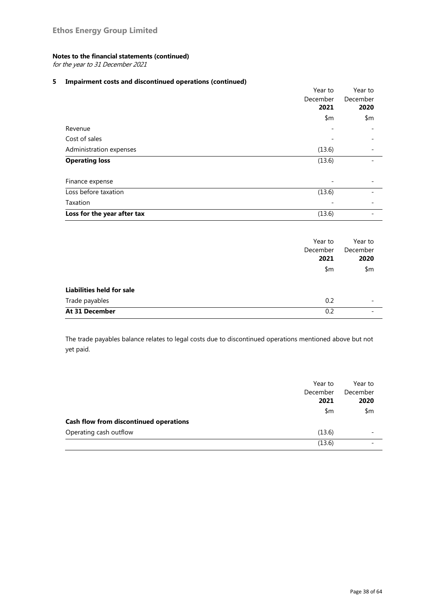for the year to 31 December 2021

## **5 Impairment costs and discontinued operations (continued)**

|                             | Year to  | Year to  |
|-----------------------------|----------|----------|
|                             | December | December |
|                             | 2021     | 2020     |
|                             | \$m\$    | \$m      |
| Revenue                     |          |          |
| Cost of sales               |          |          |
| Administration expenses     | (13.6)   |          |
| <b>Operating loss</b>       | (13.6)   |          |
| Finance expense             |          |          |
| Loss before taxation        | (13.6)   |          |
| Taxation                    |          |          |
| Loss for the year after tax | (13.6)   |          |

|                                  | Year to<br>December<br>2021 | Year to<br>December<br>2020 |
|----------------------------------|-----------------------------|-----------------------------|
|                                  | \$m                         | \$m\$                       |
| <b>Liabilities held for sale</b> |                             |                             |
| Trade payables                   | 0.2                         | $\overline{\phantom{a}}$    |
| At 31 December                   | 0.2                         | -                           |

The trade payables balance relates to legal costs due to discontinued operations mentioned above but not yet paid.

|                                               | Year to<br>December<br>2021 | Year to<br>December<br>2020 |
|-----------------------------------------------|-----------------------------|-----------------------------|
|                                               | \$m                         | \$m                         |
| <b>Cash flow from discontinued operations</b> |                             |                             |
| Operating cash outflow                        | (13.6)                      | -                           |
|                                               | (13.6)                      | -                           |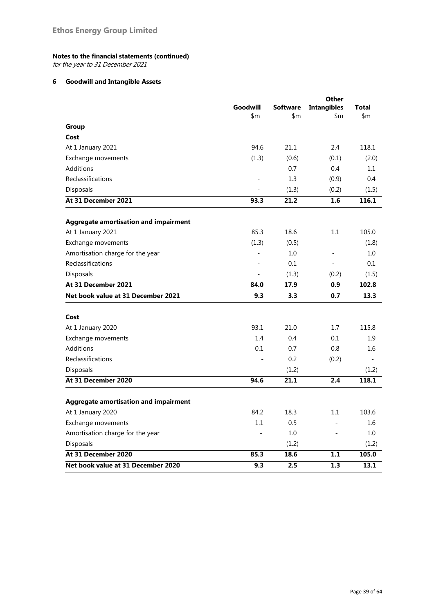for the year to 31 December 2021

## **6 Goodwill and Intangible Assets**

|                                              | Other          |                 |                          |              |
|----------------------------------------------|----------------|-----------------|--------------------------|--------------|
|                                              | Goodwill       | <b>Software</b> | <b>Intangibles</b>       | <b>Total</b> |
|                                              | \$m            | \$m             | \$m                      | \$m          |
| Group                                        |                |                 |                          |              |
| Cost                                         |                |                 |                          |              |
| At 1 January 2021                            | 94.6           | 21.1            | 24                       | 118.1        |
| Exchange movements                           | (1.3)          | (0.6)           | (0.1)                    | (2.0)        |
| Additions                                    | $\overline{a}$ | 0.7             | 0.4                      | 1.1          |
| Reclassifications                            |                | 1.3             | (0.9)                    | 0.4          |
| Disposals                                    | $\blacksquare$ | (1.3)           | (0.2)                    | (1.5)        |
| At 31 December 2021                          | 93.3           | 21.2            | 1.6                      | 116.1        |
| <b>Aggregate amortisation and impairment</b> |                |                 |                          |              |
| At 1 January 2021                            | 85.3           | 18.6            | 1.1                      | 105.0        |
| Exchange movements                           | (1.3)          | (0.5)           | $\overline{a}$           | (1.8)        |
| Amortisation charge for the year             |                | 1.0             |                          | 1.0          |
| Reclassifications                            |                | 0.1             |                          | 0.1          |
| Disposals                                    |                | (1.3)           | (0.2)                    | (1.5)        |
| At 31 December 2021                          | 84.0           | 17.9            | 0.9                      | 102.8        |
| Net book value at 31 December 2021           | 9.3            | 3.3             | 0.7                      | 13.3         |
| Cost                                         |                |                 |                          |              |
| At 1 January 2020                            | 93.1           | 21.0            | 1.7                      | 115.8        |
| Exchange movements                           | 14             | 0.4             | 0.1                      | 1.9          |
| Additions                                    | 0.1            | 0.7             | 0.8                      | 1.6          |
| Reclassifications                            |                | 0.2             | (0.2)                    |              |
| Disposals                                    | $\overline{a}$ | (1.2)           | $\overline{\phantom{a}}$ | (1.2)        |
| At 31 December 2020                          | 94.6           | 21.1            | 2.4                      | 118.1        |
| <b>Aggregate amortisation and impairment</b> |                |                 |                          |              |
| At 1 January 2020                            | 84.2           | 18.3            | 1.1                      | 103.6        |
| Exchange movements                           | 1.1            | 0.5             |                          | $1.6\,$      |
| Amortisation charge for the year             |                | 1.0             |                          | 1.0          |
| Disposals                                    |                | (1.2)           |                          | (1.2)        |
| At 31 December 2020                          | 85.3           | 18.6            | 1.1                      | 105.0        |
| Net book value at 31 December 2020           | 9.3            | 2.5             | 1.3                      | 13.1         |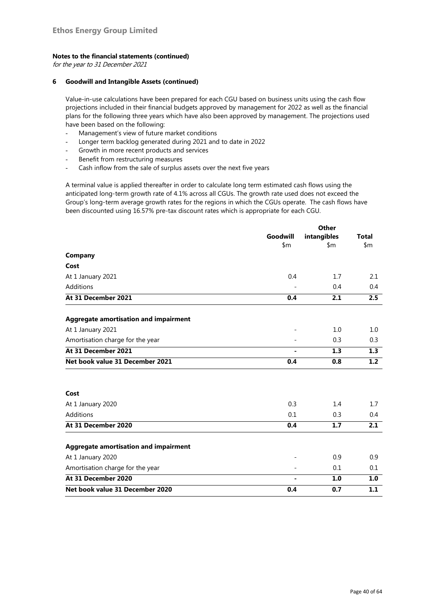for the year to 31 December 2021

#### **6 Goodwill and Intangible Assets (continued)**

Value-in-use calculations have been prepared for each CGU based on business units using the cash flow projections included in their financial budgets approved by management for 2022 as well as the financial plans for the following three years which have also been approved by management. The projections used have been based on the following:

- Management's view of future market conditions
- Longer term backlog generated during 2021 and to date in 2022
- Growth in more recent products and services
- Benefit from restructuring measures
- Cash inflow from the sale of surplus assets over the next five years

A terminal value is applied thereafter in order to calculate long term estimated cash flows using the anticipated long-term growth rate of 4.1% across all CGUs. The growth rate used does not exceed the Group's long-term average growth rates for the regions in which the CGUs operate. The cash flows have been discounted using 16.57% pre-tax discount rates which is appropriate for each CGU.

|                                              | Other        |             |              |  |
|----------------------------------------------|--------------|-------------|--------------|--|
|                                              | Goodwill     | intangibles | <b>Total</b> |  |
|                                              | $\mathsf{m}$ | \$m         | \$m          |  |
| Company                                      |              |             |              |  |
| Cost                                         |              |             |              |  |
| At 1 January 2021                            | 0.4          | 1.7         | 2.1          |  |
| Additions                                    |              | 0.4         | 0.4          |  |
| At 31 December 2021                          | 0.4          | 2.1         | 2.5          |  |
| <b>Aggregate amortisation and impairment</b> |              |             |              |  |
| At 1 January 2021                            |              | 1.0         | 1.0          |  |
| Amortisation charge for the year             |              | 0.3         | 0.3          |  |
| At 31 December 2021                          |              | 1.3         | 1.3          |  |
| Net book value 31 December 2021              | 0.4          | 0.8         | 1.2          |  |
| Cost                                         |              |             |              |  |
| At 1 January 2020                            | 0.3          | 1.4         | 1.7          |  |
| Additions                                    | 0.1          | 0.3         | 0.4          |  |
| At 31 December 2020                          | 0.4          | 1.7         | 2.1          |  |
| <b>Aggregate amortisation and impairment</b> |              |             |              |  |
| At 1 January 2020                            |              | 0.9         | 0.9          |  |
| Amortisation charge for the year             |              | 0.1         | 0.1          |  |
| At 31 December 2020                          |              | 1.0         | 1.0          |  |
| Net book value 31 December 2020              | 0.4          | 0.7         | 1.1          |  |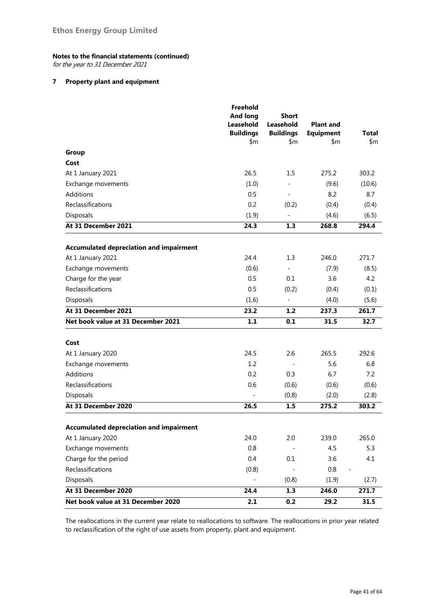for the year to 31 December 2021

## **7 Property plant and equipment**

|                                                | Freehold<br>And long<br><b>Leasehold</b><br><b>Buildings</b><br>\$m | <b>Short</b><br>Leasehold<br><b>Buildings</b><br>\$m | <b>Plant and</b><br><b>Equipment</b><br>\$m | Total<br>\$m |
|------------------------------------------------|---------------------------------------------------------------------|------------------------------------------------------|---------------------------------------------|--------------|
| Group                                          |                                                                     |                                                      |                                             |              |
| Cost                                           |                                                                     |                                                      |                                             |              |
| At 1 January 2021                              | 26.5                                                                | 1.5                                                  | 275.2                                       | 303.2        |
| Exchange movements                             | (1.0)                                                               |                                                      | (9.6)                                       | (10.6)       |
| Additions                                      | 0.5                                                                 |                                                      | 8.2                                         | 8.7          |
| Reclassifications                              | 0.2                                                                 | (0.2)                                                | (0.4)                                       | (0.4)        |
| Disposals                                      | (1.9)                                                               | $\overline{\phantom{a}}$                             | (4.6)                                       | (6.5)        |
| At 31 December 2021                            | 24.3                                                                | 1.3                                                  | 268.8                                       | 294.4        |
| <b>Accumulated depreciation and impairment</b> |                                                                     |                                                      |                                             |              |
| At 1 January 2021                              | 24.4                                                                | 1.3                                                  | 246.0                                       | 271.7        |
| Exchange movements                             | (0.6)                                                               | $\overline{\phantom{a}}$                             | (7.9)                                       | (8.5)        |
| Charge for the year                            | 0.5                                                                 | 0.1                                                  | 3.6                                         | 4.2          |
| Reclassifications                              | 0.5                                                                 | (0.2)                                                | (0.4)                                       | (0.1)        |
| Disposals                                      | (1.6)                                                               | $\equiv$                                             | (4.0)                                       | (5.6)        |
| At 31 December 2021                            | 23.2                                                                | 1.2                                                  | 237.3                                       | 261.7        |
| Net book value at 31 December 2021             | 1.1                                                                 | 0.1                                                  | 31.5                                        | 32.7         |
| Cost                                           |                                                                     |                                                      |                                             |              |
| At 1 January 2020                              | 24.5                                                                | 2.6                                                  | 265.5                                       | 292.6        |
| Exchange movements                             | 1.2                                                                 |                                                      | 5.6                                         | 6.8          |
| Additions                                      | 0.2                                                                 | 0.3                                                  | 6.7                                         | 7.2          |
| Reclassifications                              | 0.6                                                                 | (0.6)                                                | (0.6)                                       | (0.6)        |
| Disposals                                      | Ξ                                                                   | (0.8)                                                | (2.0)                                       | (2.8)        |
| At 31 December 2020                            | 26.5                                                                | 1.5                                                  | 275.2                                       | 303.2        |
| <b>Accumulated depreciation and impairment</b> |                                                                     |                                                      |                                             |              |
| At 1 January 2020                              | 24.0                                                                | 2.0                                                  | 239.0                                       | 265.0        |
| Exchange movements                             | 0.8                                                                 |                                                      | 4.5                                         | 5.3          |
| Charge for the period                          | 0.4                                                                 | 0.1                                                  | 3.6                                         | 4.1          |
| Reclassifications                              | (0.8)                                                               |                                                      | 0.8                                         |              |
| Disposals                                      |                                                                     | (0.8)                                                | (1.9)                                       | (2.7)        |
| At 31 December 2020                            | 24.4                                                                | 1.3                                                  | 246.0                                       | 271.7        |
| Net book value at 31 December 2020             | 2.1                                                                 | 0.2                                                  | 29.2                                        | 31.5         |

The reallocations in the current year relate to reallocations to software. The reallocations in prior year related to reclassification of the right of use assets from property, plant and equipment.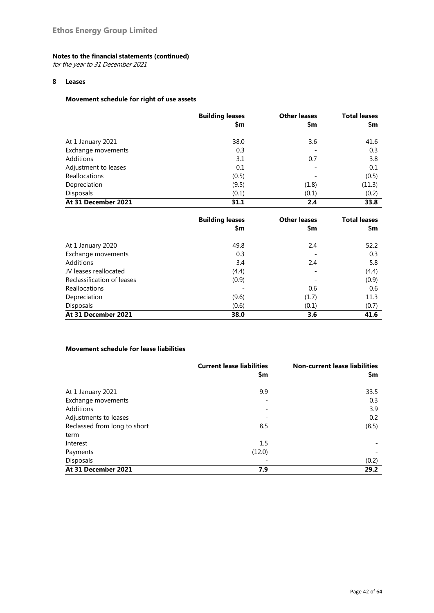for the year to 31 December 2021

### **8 Leases**

## **Movement schedule for right of use assets**

|                      | <b>Building leases</b><br>\$m | <b>Other leases</b><br>\$m | <b>Total leases</b><br>\$m |
|----------------------|-------------------------------|----------------------------|----------------------------|
| At 1 January 2021    | 38.0                          | 3.6                        | 41.6                       |
| Exchange movements   | 0.3                           |                            | 0.3                        |
| Additions            | 3.1                           | 0.7                        | 3.8                        |
| Adjustment to leases | 0.1                           |                            | 0.1                        |
| <b>Reallocations</b> | (0.5)                         |                            | (0.5)                      |
| Depreciation         | (9.5)                         | (1.8)                      | (11.3)                     |
| Disposals            | (0.1)                         | (0.1)                      | (0.2)                      |
| At 31 December 2021  | 31.1                          | 2.4                        | 33.8                       |

|                            | <b>Building leases</b><br>\$m | <b>Other leases</b><br>\$m | <b>Total leases</b><br>\$m |
|----------------------------|-------------------------------|----------------------------|----------------------------|
| At 1 January 2020          | 49.8                          | 2.4                        | 52.2                       |
| Exchange movements         | 0.3                           |                            | 0.3                        |
| Additions                  | 3.4                           | 2.4                        | 5.8                        |
| JV leases reallocated      | (4.4)                         |                            | (4.4)                      |
| Reclassification of leases | (0.9)                         |                            | (0.9)                      |
| Reallocations              |                               | 0.6                        | 0.6                        |
| Depreciation               | (9.6)                         | (1.7)                      | 11.3                       |
| <b>Disposals</b>           | (0.6)                         | (0.1)                      | (0.7)                      |
| At 31 December 2021        | 38.0                          | 3.6                        | 41.6                       |

## **Movement schedule for lease liabilities**

|                              | <b>Current lease liabilities</b><br>\$m | <b>Non-current lease liabilities</b><br>\$m |
|------------------------------|-----------------------------------------|---------------------------------------------|
| At 1 January 2021            | 9.9                                     | 33.5                                        |
| Exchange movements           |                                         | 0.3                                         |
| Additions                    |                                         | 3.9                                         |
| Adjustments to leases        |                                         | 0.2                                         |
| Reclassed from long to short | 8.5                                     | (8.5)                                       |
| term                         |                                         |                                             |
| Interest                     | 1.5                                     |                                             |
| Payments                     | (12.0)                                  |                                             |
| Disposals                    |                                         | (0.2)                                       |
| At 31 December 2021          | 7.9                                     | 29.2                                        |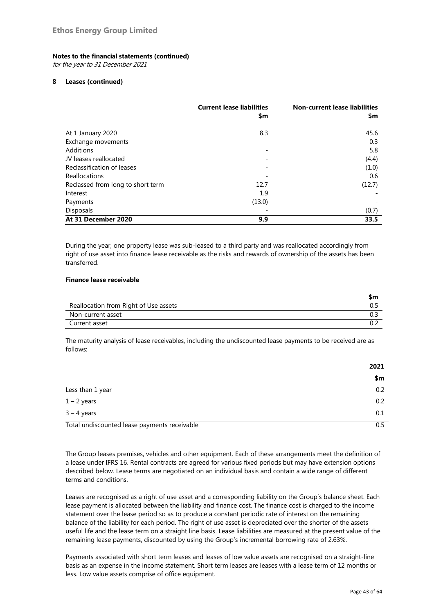for the year to 31 December 2021

#### **8 Leases (continued)**

|                                   | <b>Current lease liabilities</b><br>\$m | <b>Non-current lease liabilities</b><br>\$m |
|-----------------------------------|-----------------------------------------|---------------------------------------------|
| At 1 January 2020                 | 8.3                                     | 45.6                                        |
| Exchange movements                |                                         | 0.3                                         |
| Additions                         |                                         | 5.8                                         |
| JV leases reallocated             |                                         | (4.4)                                       |
| Reclassification of leases        |                                         | (1.0)                                       |
| <b>Reallocations</b>              |                                         | 0.6                                         |
| Reclassed from long to short term | 12.7                                    | (12.7)                                      |
| Interest                          | 1.9                                     |                                             |
| Payments                          | (13.0)                                  |                                             |
| Disposals                         |                                         | (0.7)                                       |
| At 31 December 2020               | 9.9                                     | 33.5                                        |

During the year, one property lease was sub-leased to a third party and was reallocated accordingly from right of use asset into finance lease receivable as the risks and rewards of ownership of the assets has been transferred.

#### **Finance lease receivable**

|                                       | \$m |
|---------------------------------------|-----|
| Reallocation from Right of Use assets |     |
| Non-current asset                     |     |
| Current asset                         |     |

The maturity analysis of lease receivables, including the undiscounted lease payments to be received are as follows:

|                                              | ZUZI |
|----------------------------------------------|------|
|                                              | \$m  |
| Less than 1 year                             | 0.2  |
| $1 - 2$ years                                | 0.2  |
| $3 - 4$ years                                | 0.1  |
| Total undiscounted lease payments receivable | 0.5  |

The Group leases premises, vehicles and other equipment. Each of these arrangements meet the definition of a lease under IFRS 16. Rental contracts are agreed for various fixed periods but may have extension options described below. Lease terms are negotiated on an individual basis and contain a wide range of different terms and conditions.

Leases are recognised as a right of use asset and a corresponding liability on the Group's balance sheet. Each lease payment is allocated between the liability and finance cost. The finance cost is charged to the income statement over the lease period so as to produce a constant periodic rate of interest on the remaining balance of the liability for each period. The right of use asset is depreciated over the shorter of the assets useful life and the lease term on a straight line basis. Lease liabilities are measured at the present value of the remaining lease payments, discounted by using the Group's incremental borrowing rate of 2.63%.

Payments associated with short term leases and leases of low value assets are recognised on a straight-line basis as an expense in the income statement. Short term leases are leases with a lease term of 12 months or less. Low value assets comprise of office equipment.

**2021**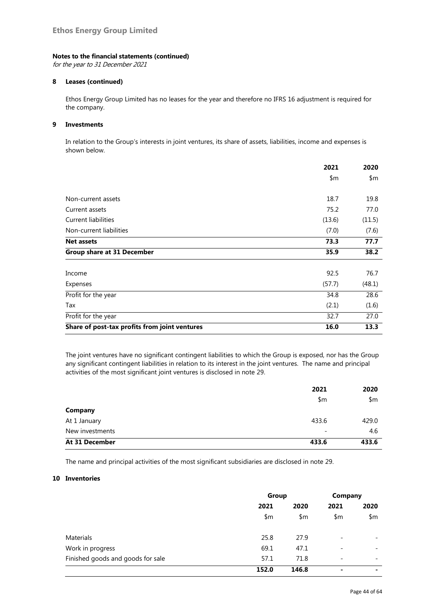for the year to 31 December 2021

#### **8 Leases (continued)**

Ethos Energy Group Limited has no leases for the year and therefore no IFRS 16 adjustment is required for the company.

## **9 Investments**

In relation to the Group's interests in joint ventures, its share of assets, liabilities, income and expenses is shown below.

|                                               | 2021   | 2020   |
|-----------------------------------------------|--------|--------|
|                                               | \$m    | \$m    |
| Non-current assets                            | 18.7   | 19.8   |
| Current assets                                | 75.2   | 77.0   |
| <b>Current liabilities</b>                    | (13.6) | (11.5) |
| Non-current liabilities                       | (7.0)  | (7.6)  |
| <b>Net assets</b>                             | 73.3   | 77.7   |
| Group share at 31 December                    | 35.9   | 38.2   |
| Income                                        | 92.5   | 76.7   |
| Expenses                                      | (57.7) | (48.1) |
| Profit for the year                           | 34.8   | 28.6   |
| Tax                                           | (2.1)  | (1.6)  |
| Profit for the year                           | 32.7   | 27.0   |
| Share of post-tax profits from joint ventures | 16.0   | 13.3   |

The joint ventures have no significant contingent liabilities to which the Group is exposed, nor has the Group any significant contingent liabilities in relation to its interest in the joint ventures. The name and principal activities of the most significant joint ventures is disclosed in note 29.

|                 | 2021                     | 2020  |
|-----------------|--------------------------|-------|
|                 | \$m                      | \$m\$ |
| Company         |                          |       |
| At 1 January    | 433.6                    | 429.0 |
| New investments | $\overline{\phantom{a}}$ | 4.6   |
| At 31 December  | 433.6                    | 433.6 |

The name and principal activities of the most significant subsidiaries are disclosed in note 29.

### **10 Inventories**

|                                   | Group |       | Company                      |                          |
|-----------------------------------|-------|-------|------------------------------|--------------------------|
|                                   | 2021  | 2020  | 2021                         | 2020                     |
|                                   | \$m   | \$m   | \$m                          | \$m                      |
| Materials                         | 25.8  | 27.9  | -                            |                          |
| Work in progress                  | 69.1  | 47.1  | $\qquad \qquad \blacksquare$ |                          |
| Finished goods and goods for sale | 57.1  | 71.8  | -                            | $\overline{\phantom{a}}$ |
|                                   | 152.0 | 146.8 | ٠                            | $\overline{\phantom{0}}$ |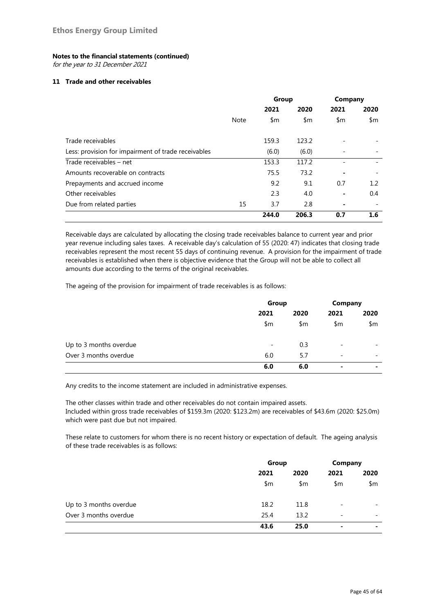for the year to 31 December 2021

#### **11 Trade and other receivables**

|                                                     |             | Group |       | Company |      |
|-----------------------------------------------------|-------------|-------|-------|---------|------|
|                                                     |             | 2021  | 2020  | 2021    | 2020 |
|                                                     | <b>Note</b> | \$m   | \$m   | \$m     | \$m  |
| Trade receivables                                   |             | 159.3 | 123.2 |         |      |
| Less: provision for impairment of trade receivables |             | (6.0) | (6.0) |         |      |
| Trade receivables - net                             |             | 153.3 | 117.2 |         |      |
| Amounts recoverable on contracts                    |             | 75.5  | 73.2  |         |      |
| Prepayments and accrued income                      |             | 9.2   | 9.1   | 0.7     | 1.2  |
| Other receivables                                   |             | 2.3   | 4.0   |         | 0.4  |
| Due from related parties                            | 15          | 3.7   | 2.8   |         |      |
|                                                     |             | 244.0 | 206.3 | 0.7     | 1.6  |

Receivable days are calculated by allocating the closing trade receivables balance to current year and prior year revenue including sales taxes. A receivable day's calculation of 55 (2020: 47) indicates that closing trade receivables represent the most recent 55 days of continuing revenue. A provision for the impairment of trade receivables is established when there is objective evidence that the Group will not be able to collect all amounts due according to the terms of the original receivables.

The ageing of the provision for impairment of trade receivables is as follows:

|                        | Group                    |      | Company                  |                          |
|------------------------|--------------------------|------|--------------------------|--------------------------|
|                        | 2021                     | 2020 | 2021                     | 2020                     |
|                        | \$m                      | \$m  | \$m                      | \$m                      |
| Up to 3 months overdue | $\overline{\phantom{a}}$ | 0.3  | $\overline{\phantom{a}}$ | $\overline{\phantom{0}}$ |
| Over 3 months overdue  | 6.0                      | 5.7  | -                        | $\overline{\phantom{0}}$ |
|                        | 6.0                      | 6.0  | ٠                        | $\overline{\phantom{a}}$ |

Any credits to the income statement are included in administrative expenses.

The other classes within trade and other receivables do not contain impaired assets. Included within gross trade receivables of \$159.3m (2020: \$123.2m) are receivables of \$43.6m (2020: \$25.0m) which were past due but not impaired.

These relate to customers for whom there is no recent history or expectation of default. The ageing analysis of these trade receivables is as follows:

|                        | Group |      | Company                      |                          |
|------------------------|-------|------|------------------------------|--------------------------|
|                        | 2021  | 2020 | 2021                         | 2020                     |
|                        | \$m   | \$m  | \$m                          | \$m                      |
| Up to 3 months overdue | 18.2  | 11.8 | $\qquad \qquad \blacksquare$ |                          |
| Over 3 months overdue  | 25.4  | 13.2 | -                            | $\overline{\phantom{0}}$ |
|                        | 43.6  | 25.0 | ۰                            | ۰                        |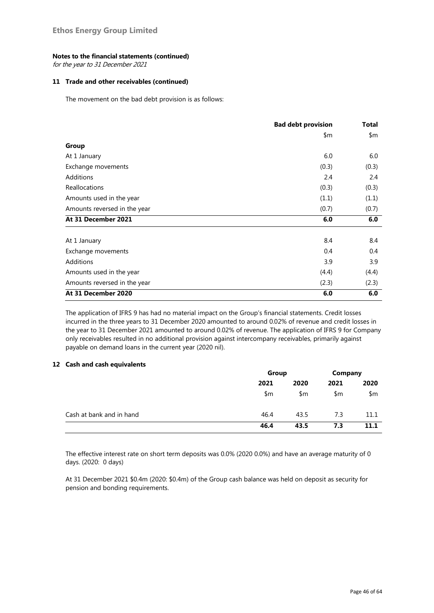for the year to 31 December 2021

#### **11 Trade and other receivables (continued)**

The movement on the bad debt provision is as follows:

|                              | <b>Bad debt provision</b> | <b>Total</b> |
|------------------------------|---------------------------|--------------|
|                              | \$m                       | \$m          |
| Group                        |                           |              |
| At 1 January                 | 6.0                       | 6.0          |
| Exchange movements           | (0.3)                     | (0.3)        |
| Additions                    | 2.4                       | 2.4          |
| <b>Reallocations</b>         | (0.3)                     | (0.3)        |
| Amounts used in the year     | (1.1)                     | (1.1)        |
| Amounts reversed in the year | (0.7)                     | (0.7)        |
| At 31 December 2021          | 6.0                       | 6.0          |
| At 1 January                 | 8.4                       | 8.4          |
| Exchange movements           | 0.4                       | 0.4          |
| <b>Additions</b>             | 3.9                       | 3.9          |
| Amounts used in the year     | (4.4)                     | (4.4)        |
| Amounts reversed in the year | (2.3)                     | (2.3)        |
| At 31 December 2020          | 6.0                       | 6.0          |

The application of IFRS 9 has had no material impact on the Group's financial statements. Credit losses incurred in the three years to 31 December 2020 amounted to around 0.02% of revenue and credit losses in the year to 31 December 2021 amounted to around 0.02% of revenue. The application of IFRS 9 for Company only receivables resulted in no additional provision against intercompany receivables, primarily against payable on demand loans in the current year (2020 nil).

## **12 Cash and cash equivalents**

|                          |      | Group |      | Company |
|--------------------------|------|-------|------|---------|
|                          | 2021 | 2020  | 2021 | 2020    |
|                          | \$m  | \$m   | \$m  | \$m     |
| Cash at bank and in hand | 46.4 | 43.5  | 7.3  | 11.1    |
|                          | 46.4 | 43.5  | 7.3  | 11.1    |

The effective interest rate on short term deposits was 0.0% (2020 0.0%) and have an average maturity of 0 days. (2020: 0 days)

At 31 December 2021 \$0.4m (2020: \$0.4m) of the Group cash balance was held on deposit as security for pension and bonding requirements.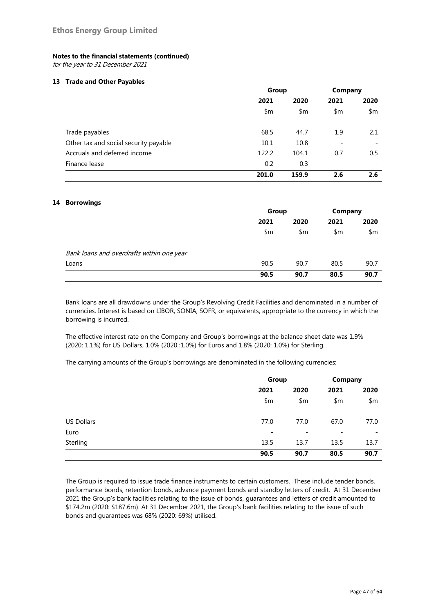for the year to 31 December 2021

#### **13 Trade and Other Payables**

|                                       | Group |       | Company                  |       |
|---------------------------------------|-------|-------|--------------------------|-------|
|                                       | 2021  | 2020  | 2021                     | 2020  |
|                                       | \$m   | \$m   | \$m                      | \$m\$ |
| Trade payables                        | 68.5  | 44.7  | 1.9                      | 2.1   |
| Other tax and social security payable | 10.1  | 10.8  | $\overline{\phantom{a}}$ |       |
| Accruals and deferred income          | 122.2 | 104.1 | 0.7                      | 0.5   |
| Finance lease                         | 0.2   | 0.3   | -                        |       |
|                                       | 201.0 | 159.9 | 2.6                      | 2.6   |

### **14 Borrowings**

|                                           | Group |      | Company |       |
|-------------------------------------------|-------|------|---------|-------|
|                                           | 2021  | 2020 | 2021    | 2020  |
|                                           | \$m   | \$m  | \$m     | \$m\$ |
| Bank loans and overdrafts within one year |       |      |         |       |
| Loans                                     | 90.5  | 90.7 | 80.5    | 90.7  |
|                                           | 90.5  | 90.7 | 80.5    | 90.7  |

Bank loans are all drawdowns under the Group's Revolving Credit Facilities and denominated in a number of currencies. Interest is based on LIBOR, SONIA, SOFR, or equivalents, appropriate to the currency in which the borrowing is incurred.

The effective interest rate on the Company and Group's borrowings at the balance sheet date was 1.9% (2020: 1.1%) for US Dollars, 1.0% (2020 :1.0%) for Euros and 1.8% (2020: 1.0%) for Sterling.

The carrying amounts of the Group's borrowings are denominated in the following currencies:

|                   |                      | Group |       | Company                  |  |      |
|-------------------|----------------------|-------|-------|--------------------------|--|------|
|                   | 2021<br>2020<br>2021 |       |       |                          |  | 2020 |
|                   | \$m\$                | \$m\$ | \$m\$ | \$m                      |  |      |
| <b>US Dollars</b> | 77.0                 | 77.0  | 67.0  | 77.0                     |  |      |
| Euro              | -                    |       |       | $\overline{\phantom{a}}$ |  |      |
| Sterling          | 13.5                 | 13.7  | 13.5  | 13.7                     |  |      |
|                   | 90.5                 | 90.7  | 80.5  | 90.7                     |  |      |

The Group is required to issue trade finance instruments to certain customers. These include tender bonds, performance bonds, retention bonds, advance payment bonds and standby letters of credit. At 31 December 2021 the Group's bank facilities relating to the issue of bonds, guarantees and letters of credit amounted to \$174.2m (2020: \$187.6m). At 31 December 2021, the Group's bank facilities relating to the issue of such bonds and guarantees was 68% (2020: 69%) utilised.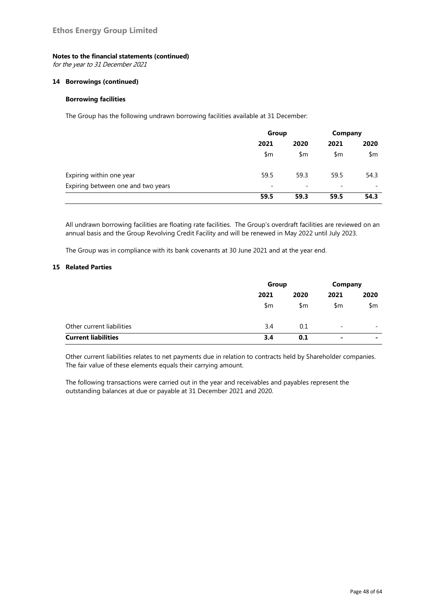for the year to 31 December 2021

#### **14 Borrowings (continued)**

### **Borrowing facilities**

The Group has the following undrawn borrowing facilities available at 31 December:

|                                    | Group                    |                          | Company                  |      |
|------------------------------------|--------------------------|--------------------------|--------------------------|------|
|                                    | 2021                     | 2020                     | 2021                     | 2020 |
|                                    | \$m                      | \$m                      | \$m                      | \$m  |
| Expiring within one year           | 59.5                     | 59.3                     | 59.5                     | 54.3 |
| Expiring between one and two years | $\overline{\phantom{a}}$ | $\overline{\phantom{a}}$ | $\overline{\phantom{a}}$ |      |
|                                    | 59.5                     | 59.3                     | 59.5                     | 54.3 |

All undrawn borrowing facilities are floating rate facilities. The Group's overdraft facilities are reviewed on an annual basis and the Group Revolving Credit Facility and will be renewed in May 2022 until July 2023.

The Group was in compliance with its bank covenants at 30 June 2021 and at the year end.

## **15 Related Parties**

|                            |      | Group |                          | Company                  |
|----------------------------|------|-------|--------------------------|--------------------------|
|                            | 2021 | 2020  | 2021                     | 2020                     |
|                            | \$m  | \$m   | \$m                      | \$m\$                    |
| Other current liabilities  | 3.4  | 0.1   | $\overline{\phantom{0}}$ | $\overline{\phantom{0}}$ |
| <b>Current liabilities</b> | 3.4  | 0.1   |                          | ۰                        |

Other current liabilities relates to net payments due in relation to contracts held by Shareholder companies. The fair value of these elements equals their carrying amount.

The following transactions were carried out in the year and receivables and payables represent the outstanding balances at due or payable at 31 December 2021 and 2020.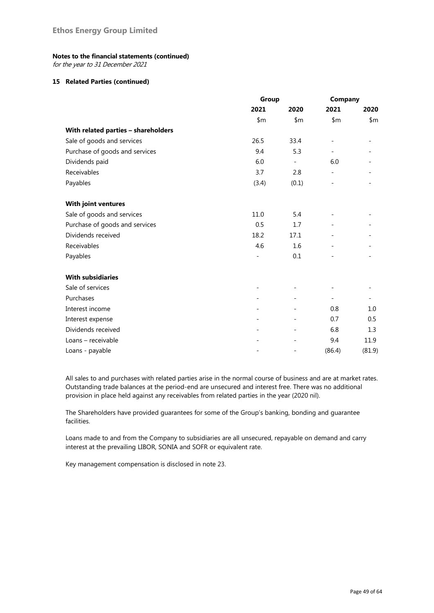for the year to 31 December 2021

#### **15 Related Parties (continued)**

|                                     | Group |                          | Company                      |        |
|-------------------------------------|-------|--------------------------|------------------------------|--------|
|                                     | 2021  | 2020                     | 2021                         | 2020   |
|                                     | \$m\$ | \$m\$                    | \$m\$                        | \$m    |
| With related parties - shareholders |       |                          |                              |        |
| Sale of goods and services          | 26.5  | 33.4                     |                              |        |
| Purchase of goods and services      | 9.4   | 5.3                      |                              |        |
| Dividends paid                      | 6.0   | $\overline{\phantom{a}}$ | 6.0                          |        |
| Receivables                         | 3.7   | 2.8                      |                              |        |
| Payables                            | (3.4) | (0.1)                    |                              |        |
| With joint ventures                 |       |                          |                              |        |
| Sale of goods and services          | 11.0  | 5.4                      | $\qquad \qquad \blacksquare$ |        |
| Purchase of goods and services      | 0.5   | 1.7                      |                              |        |
| Dividends received                  | 18.2  | 17.1                     |                              |        |
| Receivables                         | 4.6   | 1.6                      |                              |        |
| Payables                            |       | 0.1                      |                              |        |
| <b>With subsidiaries</b>            |       |                          |                              |        |
| Sale of services                    |       |                          |                              |        |
| Purchases                           |       |                          | $\overline{\phantom{0}}$     |        |
| Interest income                     |       |                          | 0.8                          | 1.0    |
| Interest expense                    |       |                          | 0.7                          | 0.5    |
| Dividends received                  |       |                          | 6.8                          | 1.3    |
| Loans - receivable                  |       |                          | 9.4                          | 11.9   |
| Loans - payable                     |       |                          | (86.4)                       | (81.9) |

All sales to and purchases with related parties arise in the normal course of business and are at market rates. Outstanding trade balances at the period-end are unsecured and interest free. There was no additional provision in place held against any receivables from related parties in the year (2020 nil).

The Shareholders have provided guarantees for some of the Group's banking, bonding and guarantee facilities.

Loans made to and from the Company to subsidiaries are all unsecured, repayable on demand and carry interest at the prevailing LIBOR, SONIA and SOFR or equivalent rate.

Key management compensation is disclosed in note 23.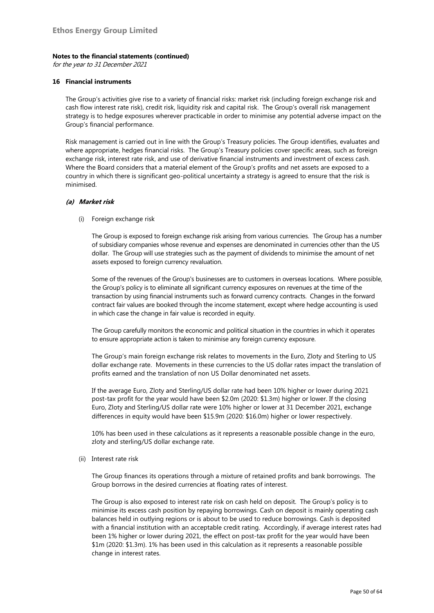for the year to 31 December 2021

#### **16 Financial instruments**

The Group's activities give rise to a variety of financial risks: market risk (including foreign exchange risk and cash flow interest rate risk), credit risk, liquidity risk and capital risk. The Group's overall risk management strategy is to hedge exposures wherever practicable in order to minimise any potential adverse impact on the Group's financial performance.

Risk management is carried out in line with the Group's Treasury policies. The Group identifies, evaluates and where appropriate, hedges financial risks. The Group's Treasury policies cover specific areas, such as foreign exchange risk, interest rate risk, and use of derivative financial instruments and investment of excess cash. Where the Board considers that a material element of the Group's profits and net assets are exposed to a country in which there is significant geo-political uncertainty a strategy is agreed to ensure that the risk is minimised.

#### **(a) Market risk**

(i) Foreign exchange risk

The Group is exposed to foreign exchange risk arising from various currencies. The Group has a number of subsidiary companies whose revenue and expenses are denominated in currencies other than the US dollar. The Group will use strategies such as the payment of dividends to minimise the amount of net assets exposed to foreign currency revaluation.

Some of the revenues of the Group's businesses are to customers in overseas locations. Where possible, the Group's policy is to eliminate all significant currency exposures on revenues at the time of the transaction by using financial instruments such as forward currency contracts. Changes in the forward contract fair values are booked through the income statement, except where hedge accounting is used in which case the change in fair value is recorded in equity.

The Group carefully monitors the economic and political situation in the countries in which it operates to ensure appropriate action is taken to minimise any foreign currency exposure.

The Group's main foreign exchange risk relates to movements in the Euro, Zloty and Sterling to US dollar exchange rate. Movements in these currencies to the US dollar rates impact the translation of profits earned and the translation of non US Dollar denominated net assets.

If the average Euro, Zloty and Sterling/US dollar rate had been 10% higher or lower during 2021 post-tax profit for the year would have been \$2.0m (2020: \$1.3m) higher or lower. If the closing Euro, Zloty and Sterling/US dollar rate were 10% higher or lower at 31 December 2021, exchange differences in equity would have been \$15.9m (2020: \$16.0m) higher or lower respectively.

10% has been used in these calculations as it represents a reasonable possible change in the euro, zloty and sterling/US dollar exchange rate.

(ii) Interest rate risk

The Group finances its operations through a mixture of retained profits and bank borrowings. The Group borrows in the desired currencies at floating rates of interest.

The Group is also exposed to interest rate risk on cash held on deposit. The Group's policy is to minimise its excess cash position by repaying borrowings. Cash on deposit is mainly operating cash balances held in outlying regions or is about to be used to reduce borrowings. Cash is deposited with a financial institution with an acceptable credit rating. Accordingly, if average interest rates had been 1% higher or lower during 2021, the effect on post-tax profit for the year would have been \$1m (2020: \$1.3m). 1% has been used in this calculation as it represents a reasonable possible change in interest rates.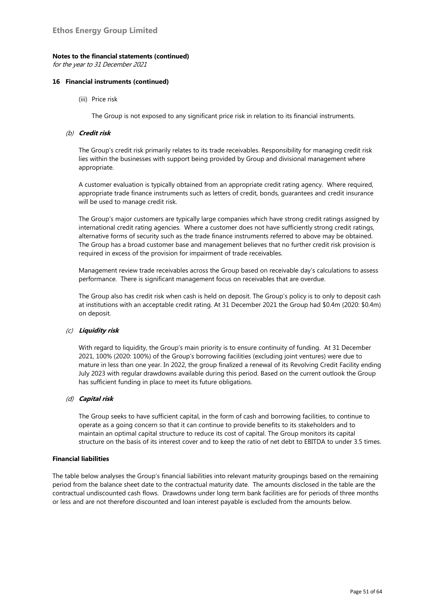for the year to 31 December 2021

#### **16 Financial instruments (continued)**

(iii) Price risk

The Group is not exposed to any significant price risk in relation to its financial instruments.

#### (b) **Credit risk**

The Group's credit risk primarily relates to its trade receivables. Responsibility for managing credit risk lies within the businesses with support being provided by Group and divisional management where appropriate.

A customer evaluation is typically obtained from an appropriate credit rating agency. Where required, appropriate trade finance instruments such as letters of credit, bonds, guarantees and credit insurance will be used to manage credit risk.

The Group's major customers are typically large companies which have strong credit ratings assigned by international credit rating agencies. Where a customer does not have sufficiently strong credit ratings, alternative forms of security such as the trade finance instruments referred to above may be obtained. The Group has a broad customer base and management believes that no further credit risk provision is required in excess of the provision for impairment of trade receivables.

Management review trade receivables across the Group based on receivable day's calculations to assess performance. There is significant management focus on receivables that are overdue.

The Group also has credit risk when cash is held on deposit. The Group's policy is to only to deposit cash at institutions with an acceptable credit rating. At 31 December 2021 the Group had \$0.4m (2020: \$0.4m) on deposit.

#### (c) **Liquidity risk**

With regard to liquidity, the Group's main priority is to ensure continuity of funding. At 31 December 2021, 100% (2020: 100%) of the Group's borrowing facilities (excluding joint ventures) were due to mature in less than one year. In 2022, the group finalized a renewal of its Revolving Credit Facility ending July 2023 with regular drawdowns available during this period. Based on the current outlook the Group has sufficient funding in place to meet its future obligations.

#### (d) **Capital risk**

The Group seeks to have sufficient capital, in the form of cash and borrowing facilities, to continue to operate as a going concern so that it can continue to provide benefits to its stakeholders and to maintain an optimal capital structure to reduce its cost of capital. The Group monitors its capital structure on the basis of its interest cover and to keep the ratio of net debt to EBITDA to under 3.5 times.

#### **Financial liabilities**

The table below analyses the Group's financial liabilities into relevant maturity groupings based on the remaining period from the balance sheet date to the contractual maturity date. The amounts disclosed in the table are the contractual undiscounted cash flows. Drawdowns under long term bank facilities are for periods of three months or less and are not therefore discounted and loan interest payable is excluded from the amounts below.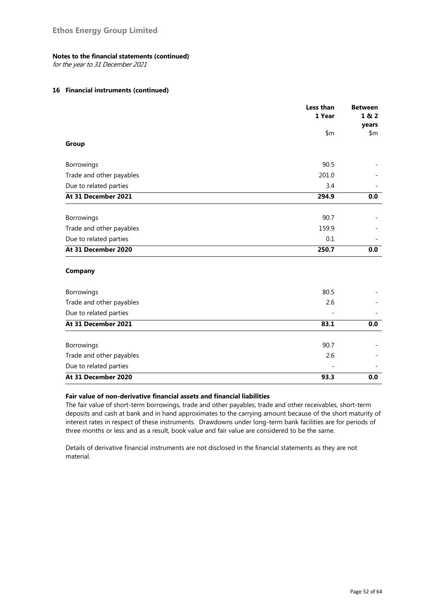for the year to 31 December 2021

## **16 Financial instruments (continued)**

|                          | Less than<br>1 Year | <b>Between</b><br>1&2 |
|--------------------------|---------------------|-----------------------|
|                          | \$m                 | years<br>\$m\$        |
| Group                    |                     |                       |
|                          |                     |                       |
| Borrowings               | 90.5                |                       |
| Trade and other payables | 201.0               |                       |
| Due to related parties   | 3.4                 |                       |
| At 31 December 2021      | 294.9               | 0.0                   |
| Borrowings               | 90.7                |                       |
| Trade and other payables | 159.9               |                       |
| Due to related parties   | 0.1                 |                       |
| At 31 December 2020      | 250.7               | 0.0                   |
| Company                  |                     |                       |
| Borrowings               | 80.5                |                       |
| Trade and other payables | 2.6                 |                       |
| Due to related parties   |                     |                       |
| At 31 December 2021      | 83.1                | 0.0                   |
| Borrowings               | 90.7                |                       |
| Trade and other payables | 2.6                 |                       |
| Due to related parties   |                     |                       |
| At 31 December 2020      | 93.3                | 0.0                   |

## **Fair value of non-derivative financial assets and financial liabilities**

The fair value of short-term borrowings, trade and other payables, trade and other receivables, short-term deposits and cash at bank and in hand approximates to the carrying amount because of the short maturity of interest rates in respect of these instruments. Drawdowns under long-term bank facilities are for periods of three months or less and as a result, book value and fair value are considered to be the same.

Details of derivative financial instruments are not disclosed in the financial statements as they are not material.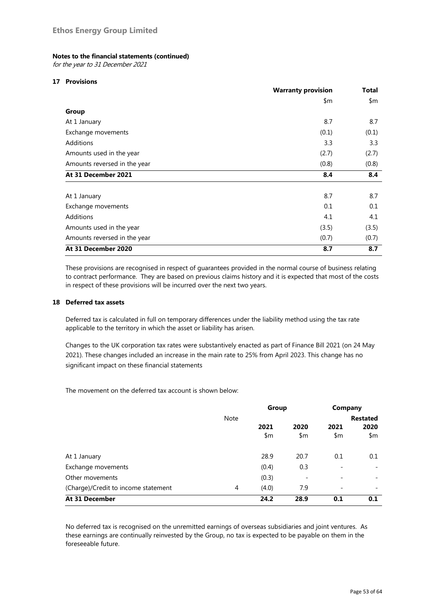for the year to 31 December 2021

#### **17 Provisions**

|                              | <b>Warranty provision</b> | Total |
|------------------------------|---------------------------|-------|
|                              | \$m                       | \$m   |
| Group                        |                           |       |
| At 1 January                 | 8.7                       | 8.7   |
| Exchange movements           | (0.1)                     | (0.1) |
| <b>Additions</b>             | 3.3                       | 3.3   |
| Amounts used in the year     | (2.7)                     | (2.7) |
| Amounts reversed in the year | (0.8)                     | (0.8) |
| At 31 December 2021          | 8.4                       | 8.4   |
|                              |                           |       |
| At 1 January                 | 8.7                       | 8.7   |
| Exchange movements           | 0.1                       | 0.1   |
|                              |                           |       |
| Additions                    | 4.1                       | 4.1   |
| Amounts used in the year     | (3.5)                     | (3.5) |
| Amounts reversed in the year | (0.7)                     | (0.7) |

These provisions are recognised in respect of guarantees provided in the normal course of business relating to contract performance. They are based on previous claims history and it is expected that most of the costs in respect of these provisions will be incurred over the next two years.

#### **18 Deferred tax assets**

Deferred tax is calculated in full on temporary differences under the liability method using the tax rate applicable to the territory in which the asset or liability has arisen.

Changes to the UK corporation tax rates were substantively enacted as part of Finance Bill 2021 (on 24 May 2021). These changes included an increase in the main rate to 25% from April 2023. This change has no significant impact on these financial statements

The movement on the deferred tax account is shown below:

|                                     |             | Group |      | Company                  |                 |
|-------------------------------------|-------------|-------|------|--------------------------|-----------------|
|                                     | <b>Note</b> |       |      |                          | <b>Restated</b> |
|                                     |             | 2021  | 2020 | 2021                     | 2020            |
|                                     |             | \$m   | \$m  | \$m                      | \$m             |
| At 1 January                        |             | 28.9  | 20.7 | 0.1                      | 0.1             |
| Exchange movements                  |             | (0.4) | 0.3  | $\overline{\phantom{a}}$ |                 |
| Other movements                     |             | (0.3) |      | -                        |                 |
| (Charge)/Credit to income statement | 4           | (4.0) | 7.9  | $\overline{\phantom{a}}$ |                 |
| At 31 December                      |             | 24.2  | 28.9 | 0.1                      | 0.1             |

No deferred tax is recognised on the unremitted earnings of overseas subsidiaries and joint ventures. As these earnings are continually reinvested by the Group, no tax is expected to be payable on them in the foreseeable future.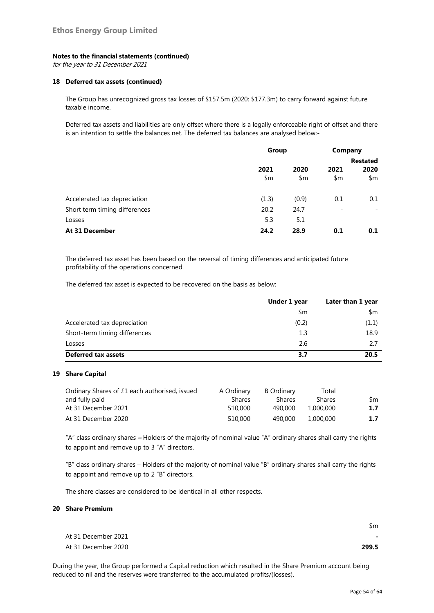for the year to 31 December 2021

#### **18 Deferred tax assets (continued)**

The Group has unrecognized gross tax losses of \$157.5m (2020: \$177.3m) to carry forward against future taxable income.

Deferred tax assets and liabilities are only offset where there is a legally enforceable right of offset and there is an intention to settle the balances net. The deferred tax balances are analysed below:-

|                               | Group       |             | Company                  |                                |
|-------------------------------|-------------|-------------|--------------------------|--------------------------------|
|                               | 2021<br>\$m | 2020<br>\$m | 2021<br>\$m              | <b>Restated</b><br>2020<br>\$m |
| Accelerated tax depreciation  | (1.3)       | (0.9)       | 0.1                      | 0.1                            |
| Short term timing differences | 20.2        | 24.7        | -                        |                                |
| Losses                        | 5.3         | 5.1         | $\overline{\phantom{a}}$ | $\overline{\phantom{a}}$       |
| At 31 December                | 24.2        | 28.9        | 0.1                      | 0.1                            |

The deferred tax asset has been based on the reversal of timing differences and anticipated future profitability of the operations concerned.

The deferred tax asset is expected to be recovered on the basis as below:

|                               | Under 1 year | Later than 1 year |
|-------------------------------|--------------|-------------------|
|                               | \$m          | \$m               |
| Accelerated tax depreciation  | (0.2)        | (1.1)             |
| Short-term timing differences | 1.3          | 18.9              |
| Losses                        | 2.6          | 2.7               |
| <b>Deferred tax assets</b>    | 3.7          | 20.5              |

#### **19 Share Capital**

| Ordinary Shares of £1 each authorised, issued | A Ordinary | B Ordinary    | Total         |                  |
|-----------------------------------------------|------------|---------------|---------------|------------------|
| and fully paid                                | Shares     | <b>Shares</b> | <b>Shares</b> | \$m              |
| At 31 December 2021                           | 510.000    | 490.000       | 1.000.000     | 1.7 <sub>2</sub> |
| At 31 December 2020                           | 510,000    | 490,000       | 1,000,000     | 1.7 <sub>2</sub> |

"A" class ordinary shares **–** Holders of the majority of nominal value "A" ordinary shares shall carry the rights to appoint and remove up to 3 "A" directors.

"B" class ordinary shares – Holders of the majority of nominal value "B" ordinary shares shall carry the rights to appoint and remove up to 2 "B" directors.

The share classes are considered to be identical in all other respects.

### **20 Share Premium**

|                     | \$m   |
|---------------------|-------|
| At 31 December 2021 | -     |
| At 31 December 2020 | 299.5 |

During the year, the Group performed a Capital reduction which resulted in the Share Premium account being reduced to nil and the reserves were transferred to the accumulated profits/(losses).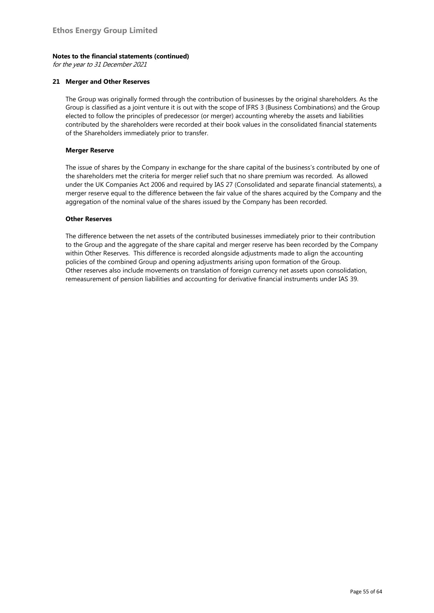for the year to 31 December 2021

#### **21 Merger and Other Reserves**

The Group was originally formed through the contribution of businesses by the original shareholders. As the Group is classified as a joint venture it is out with the scope of IFRS 3 (Business Combinations) and the Group elected to follow the principles of predecessor (or merger) accounting whereby the assets and liabilities contributed by the shareholders were recorded at their book values in the consolidated financial statements of the Shareholders immediately prior to transfer.

#### **Merger Reserve**

The issue of shares by the Company in exchange for the share capital of the business's contributed by one of the shareholders met the criteria for merger relief such that no share premium was recorded. As allowed under the UK Companies Act 2006 and required by IAS 27 (Consolidated and separate financial statements), a merger reserve equal to the difference between the fair value of the shares acquired by the Company and the aggregation of the nominal value of the shares issued by the Company has been recorded.

#### **Other Reserves**

The difference between the net assets of the contributed businesses immediately prior to their contribution to the Group and the aggregate of the share capital and merger reserve has been recorded by the Company within Other Reserves. This difference is recorded alongside adjustments made to align the accounting policies of the combined Group and opening adjustments arising upon formation of the Group. Other reserves also include movements on translation of foreign currency net assets upon consolidation, remeasurement of pension liabilities and accounting for derivative financial instruments under IAS 39.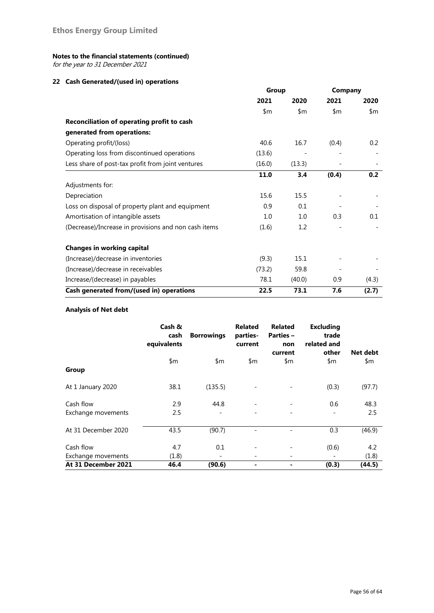for the year to 31 December 2021

## **22 Cash Generated/(used in) operations**

|                                                      | Group  |        | Company |       |
|------------------------------------------------------|--------|--------|---------|-------|
|                                                      | 2021   | 2020   | 2021    | 2020  |
|                                                      | \$m    | \$m    | \$m     | \$m   |
| Reconciliation of operating profit to cash           |        |        |         |       |
| generated from operations:                           |        |        |         |       |
| Operating profit/(loss)                              | 40.6   | 16.7   | (0.4)   | 0.2   |
| Operating loss from discontinued operations          | (13.6) |        |         |       |
| Less share of post-tax profit from joint ventures    | (16.0) | (13.3) |         |       |
|                                                      | 11.0   | 3.4    | (0.4)   | 0.2   |
| Adjustments for:                                     |        |        |         |       |
| Depreciation                                         | 15.6   | 15.5   |         |       |
| Loss on disposal of property plant and equipment     | 0.9    | 0.1    |         |       |
| Amortisation of intangible assets                    | 1.0    | 1.0    | 0.3     | 0.1   |
| (Decrease)/Increase in provisions and non cash items | (1.6)  | 1.2    |         |       |
| <b>Changes in working capital</b>                    |        |        |         |       |
| (Increase)/decrease in inventories                   | (9.3)  | 15.1   |         |       |
| (Increase)/decrease in receivables                   | (73.2) | 59.8   |         |       |
| Increase/(decrease) in payables                      | 78.1   | (40.0) | 0.9     | (4.3) |
| Cash generated from/(used in) operations             | 22.5   | 73.1   | 7.6     | (2.7) |

## **Analysis of Net debt**

|                     | Cash &<br>cash<br>equivalents | <b>Borrowings</b> | <b>Related</b><br>parties-<br>current | <b>Related</b><br><b>Parties -</b><br>non | <b>Excluding</b><br>trade<br>related and |                 |
|---------------------|-------------------------------|-------------------|---------------------------------------|-------------------------------------------|------------------------------------------|-----------------|
|                     | \$m                           | \$m               | \$m                                   | current<br>\$m                            | other<br>\$m                             | Net debt<br>\$m |
| Group               |                               |                   |                                       |                                           |                                          |                 |
| At 1 January 2020   | 38.1                          | (135.5)           |                                       |                                           | (0.3)                                    | (97.7)          |
| Cash flow           | 2.9                           | 44.8              |                                       |                                           | 0.6                                      | 48.3            |
| Exchange movements  | 2.5                           |                   |                                       |                                           |                                          | 2.5             |
| At 31 December 2020 | 43.5                          | (90.7)            |                                       |                                           | 0.3                                      | (46.9)          |
| Cash flow           | 4.7                           | 0.1               |                                       |                                           | (0.6)                                    | 4.2             |
| Exchange movements  | (1.8)                         | ۰                 |                                       |                                           |                                          | (1.8)           |
| At 31 December 2021 | 46.4                          | (90.6)            |                                       |                                           | (0.3)                                    | (44.5)          |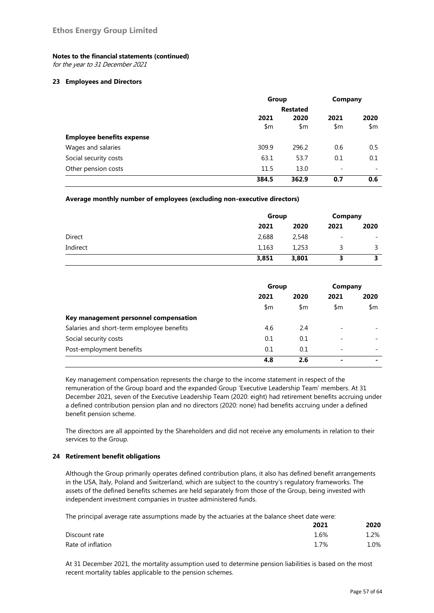for the year to 31 December 2021

#### **23 Employees and Directors**

|                                  |                 | Group |      | Company |
|----------------------------------|-----------------|-------|------|---------|
|                                  | <b>Restated</b> |       |      |         |
|                                  | 2021            | 2020  | 2021 | 2020    |
|                                  | \$m             | \$m   | \$m  | \$m     |
| <b>Employee benefits expense</b> |                 |       |      |         |
| Wages and salaries               | 309.9           | 296.2 | 0.6  | 0.5     |
| Social security costs            | 63.1            | 53.7  | 0.1  | 0.1     |
| Other pension costs              | 11.5            | 13.0  | -    |         |
|                                  | 384.5           | 362.9 | 0.7  | 0.6     |

#### **Average monthly number of employees (excluding non-executive directors)**

|          |       | Group |      | Company                  |  |
|----------|-------|-------|------|--------------------------|--|
|          | 2021  | 2020  | 2021 | 2020                     |  |
| Direct   | 2,688 | 2,548 | ٠.   | $\overline{\phantom{a}}$ |  |
| Indirect | 1,163 | 1,253 | ₹    | 3                        |  |
|          | 3,851 | 3,801 |      | 3                        |  |

|                                           | Group |      | Company                  |                 |  |  |  |  |  |  |  |      |  |      |
|-------------------------------------------|-------|------|--------------------------|-----------------|--|--|--|--|--|--|--|------|--|------|
|                                           | 2021  | 2020 |                          |                 |  |  |  |  |  |  |  | 2021 |  | 2020 |
|                                           | \$m   | \$m  | \$m                      | \$m             |  |  |  |  |  |  |  |      |  |      |
| Key management personnel compensation     |       |      |                          |                 |  |  |  |  |  |  |  |      |  |      |
| Salaries and short-term employee benefits | 4.6   | 2.4  | $\overline{\phantom{a}}$ |                 |  |  |  |  |  |  |  |      |  |      |
| Social security costs                     | 0.1   | 0.1  | $\overline{\phantom{a}}$ |                 |  |  |  |  |  |  |  |      |  |      |
| Post-employment benefits                  | 0.1   | 0.1  | $\overline{\phantom{a}}$ | $\qquad \qquad$ |  |  |  |  |  |  |  |      |  |      |
|                                           | 4.8   | 2.6  | -                        | $\blacksquare$  |  |  |  |  |  |  |  |      |  |      |

Key management compensation represents the charge to the income statement in respect of the remuneration of the Group board and the expanded Group 'Executive Leadership Team' members. At 31 December 2021, seven of the Executive Leadership Team (2020: eight) had retirement benefits accruing under a defined contribution pension plan and no directors (2020: none) had benefits accruing under a defined benefit pension scheme.

The directors are all appointed by the Shareholders and did not receive any emoluments in relation to their services to the Group.

#### **24 Retirement benefit obligations**

Although the Group primarily operates defined contribution plans, it also has defined benefit arrangements in the USA, Italy, Poland and Switzerland, which are subject to the country's regulatory frameworks. The assets of the defined benefits schemes are held separately from those of the Group, being invested with independent investment companies in trustee administered funds.

The principal average rate assumptions made by the actuaries at the balance sheet date were:

|                   | 2021 | 2020 |
|-------------------|------|------|
| Discount rate     | 1.6% | 1.2% |
| Rate of inflation | 1.7% | 1.0% |

At 31 December 2021, the mortality assumption used to determine pension liabilities is based on the most recent mortality tables applicable to the pension schemes.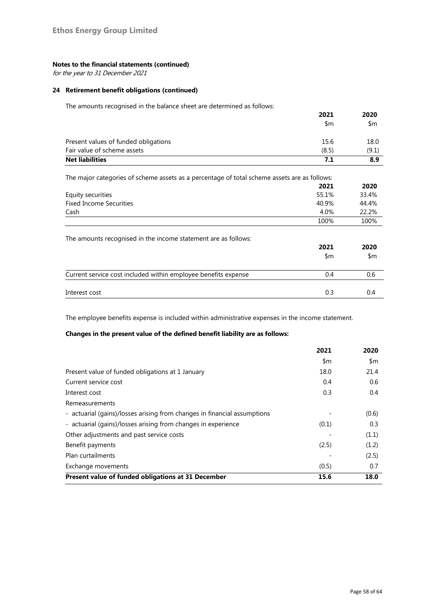for the year to 31 December 2021

## **24 Retirement benefit obligations (continued)**

The amounts recognised in the balance sheet are determined as follows:

|                                      | 2021<br>\$m | 2020<br>\$m |
|--------------------------------------|-------------|-------------|
| Present values of funded obligations | 15.6        | 18.0        |
| Fair value of scheme assets          | (8.5)       | (9.1)       |
| <b>Net liabilities</b>               | 7.1         | 8.9         |

|                                | 2021  | 2020  |
|--------------------------------|-------|-------|
| Equity securities              | 55.1% | 33.4% |
| <b>Fixed Income Securities</b> | 40.9% | 44.4% |
| Cash                           | 4.0%  | 22.2% |
|                                | 100%  | 100%  |

The amounts recognised in the income statement are as follows:

| $\overline{\phantom{0}}$                                       | 2021<br>\$m | 2020<br>\$m\$ |
|----------------------------------------------------------------|-------------|---------------|
| Current service cost included within employee benefits expense | 0.4         |               |
| Interest cost                                                  | በ 3         | 0.4           |

The employee benefits expense is included within administrative expenses in the income statement.

### **Changes in the present value of the defined benefit liability are as follows:**

|                                                                          | 2021  | 2020  |
|--------------------------------------------------------------------------|-------|-------|
|                                                                          | \$m   | \$m   |
| Present value of funded obligations at 1 January                         | 18.0  | 21.4  |
| Current service cost                                                     | 0.4   | 0.6   |
| Interest cost                                                            | 0.3   | 0.4   |
| Remeasurements                                                           |       |       |
| - actuarial (gains)/losses arising from changes in financial assumptions |       | (0.6) |
| - actuarial (gains)/losses arising from changes in experience            | (0.1) | 0.3   |
| Other adjustments and past service costs                                 |       | (1.1) |
| Benefit payments                                                         | (2.5) | (1.2) |
| Plan curtailments                                                        |       | (2.5) |
| Exchange movements                                                       | (0.5) | 0.7   |
| Present value of funded obligations at 31 December                       | 15.6  | 18.0  |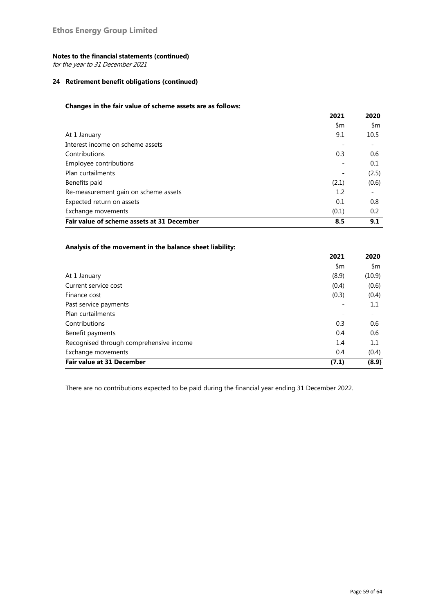for the year to 31 December 2021

### **24 Retirement benefit obligations (continued)**

## **Changes in the fair value of scheme assets are as follows:**

|                                            | 2021  | 2020  |
|--------------------------------------------|-------|-------|
|                                            | \$m   | \$m   |
| At 1 January                               | 9.1   | 10.5  |
| Interest income on scheme assets           |       |       |
| Contributions                              | 0.3   | 0.6   |
| Employee contributions                     |       | 0.1   |
| Plan curtailments                          |       | (2.5) |
| Benefits paid                              | (2.1) | (0.6) |
| Re-measurement gain on scheme assets       | 1.2   |       |
| Expected return on assets                  | 0.1   | 0.8   |
| Exchange movements                         | (0.1) | 0.2   |
| Fair value of scheme assets at 31 December | 8.5   | 9.1   |

## **Analysis of the movement in the balance sheet liability:**

|                                         | 2021  | 2020   |
|-----------------------------------------|-------|--------|
|                                         | \$m   | \$m    |
| At 1 January                            | (8.9) | (10.9) |
| Current service cost                    | (0.4) | (0.6)  |
| Finance cost                            | (0.3) | (0.4)  |
| Past service payments                   |       | 1.1    |
| Plan curtailments                       |       |        |
| Contributions                           | 0.3   | 0.6    |
| Benefit payments                        | 0.4   | 0.6    |
| Recognised through comprehensive income | 1.4   | 1.1    |
| Exchange movements                      | 0.4   | (0.4)  |
| Fair value at 31 December               | (7.1) | (8.9)  |

There are no contributions expected to be paid during the financial year ending 31 December 2022.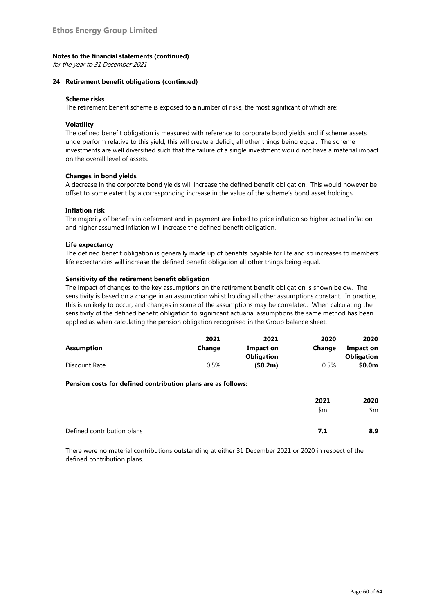for the year to 31 December 2021

#### **24 Retirement benefit obligations (continued)**

#### **Scheme risks**

The retirement benefit scheme is exposed to a number of risks, the most significant of which are:

#### **Volatility**

The defined benefit obligation is measured with reference to corporate bond yields and if scheme assets underperform relative to this yield, this will create a deficit, all other things being equal. The scheme investments are well diversified such that the failure of a single investment would not have a material impact on the overall level of assets.

#### **Changes in bond yields**

A decrease in the corporate bond yields will increase the defined benefit obligation. This would however be offset to some extent by a corresponding increase in the value of the scheme's bond asset holdings.

#### **Inflation risk**

The majority of benefits in deferment and in payment are linked to price inflation so higher actual inflation and higher assumed inflation will increase the defined benefit obligation.

#### **Life expectancy**

The defined benefit obligation is generally made up of benefits payable for life and so increases to members' life expectancies will increase the defined benefit obligation all other things being equal.

## **Sensitivity of the retirement benefit obligation**

The impact of changes to the key assumptions on the retirement benefit obligation is shown below. The sensitivity is based on a change in an assumption whilst holding all other assumptions constant. In practice, this is unlikely to occur, and changes in some of the assumptions may be correlated. When calculating the sensitivity of the defined benefit obligation to significant actuarial assumptions the same method has been applied as when calculating the pension obligation recognised in the Group balance sheet.

|                   | 2021   | 2021              | 2020   | 2020              |
|-------------------|--------|-------------------|--------|-------------------|
| <b>Assumption</b> | Change | Impact on         | Change | Impact on         |
|                   |        | <b>Obligation</b> |        | <b>Obligation</b> |
| Discount Rate     | 0.5%   | (\$0.2m)          | 0.5%   | \$0.0m            |

#### **Pension costs for defined contribution plans are as follows:**

|                            | 2021<br>\$m | 2020<br>\$m |
|----------------------------|-------------|-------------|
| Defined contribution plans | 7.1         | 8.9         |

There were no material contributions outstanding at either 31 December 2021 or 2020 in respect of the defined contribution plans.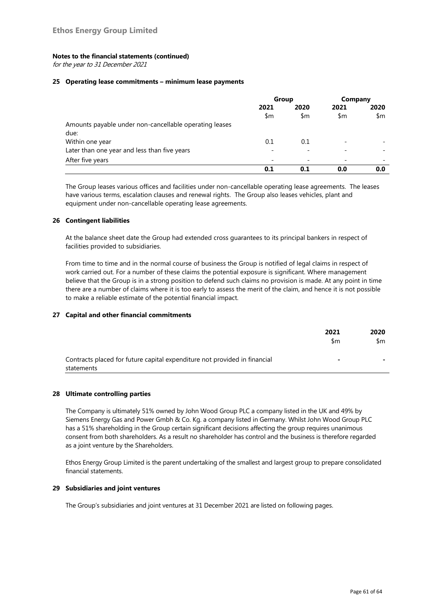for the year to 31 December 2021

#### **25 Operating lease commitments – minimum lease payments**

|                                                                | Group       |             | Company     |             |
|----------------------------------------------------------------|-------------|-------------|-------------|-------------|
|                                                                | 2021<br>\$m | 2020<br>\$m | 2021<br>\$m | 2020<br>\$m |
| Amounts payable under non-cancellable operating leases<br>due: |             |             |             |             |
| Within one year                                                | 0.1         | 0.1         |             |             |
| Later than one year and less than five years                   |             |             |             |             |
| After five years                                               |             |             |             |             |
|                                                                | 0.1         |             | 0.0         | 0.0         |

The Group leases various offices and facilities under non-cancellable operating lease agreements. The leases have various terms, escalation clauses and renewal rights. The Group also leases vehicles, plant and equipment under non-cancellable operating lease agreements.

#### **26 Contingent liabilities**

At the balance sheet date the Group had extended cross guarantees to its principal bankers in respect of facilities provided to subsidiaries.

From time to time and in the normal course of business the Group is notified of legal claims in respect of work carried out. For a number of these claims the potential exposure is significant. Where management believe that the Group is in a strong position to defend such claims no provision is made. At any point in time there are a number of claims where it is too early to assess the merit of the claim, and hence it is not possible to make a reliable estimate of the potential financial impact.

## **27 Capital and other financial commitments**

|                                                                           | 2021 | 2020 |
|---------------------------------------------------------------------------|------|------|
|                                                                           | \$m  | \$m  |
| Contracts placed for future capital expenditure not provided in financial | -    |      |
| statements                                                                |      |      |

## **28 Ultimate controlling parties**

The Company is ultimately 51% owned by John Wood Group PLC a company listed in the UK and 49% by Siemens Energy Gas and Power Gmbh & Co. Kg. a company listed in Germany. Whilst John Wood Group PLC has a 51% shareholding in the Group certain significant decisions affecting the group requires unanimous consent from both shareholders. As a result no shareholder has control and the business is therefore regarded as a joint venture by the Shareholders.

Ethos Energy Group Limited is the parent undertaking of the smallest and largest group to prepare consolidated financial statements.

#### **29 Subsidiaries and joint ventures**

The Group's subsidiaries and joint ventures at 31 December 2021 are listed on following pages.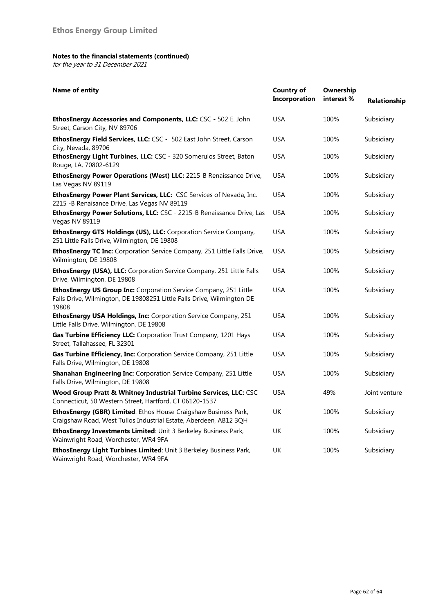for the year to 31 December 2021

| Name of entity                                                                                                                                       | <b>Country of</b><br><b>Incorporation</b> | Ownership<br>interest% | Relationship  |
|------------------------------------------------------------------------------------------------------------------------------------------------------|-------------------------------------------|------------------------|---------------|
| EthosEnergy Accessories and Components, LLC: CSC - 502 E. John<br>Street, Carson City, NV 89706                                                      | <b>USA</b>                                | 100%                   | Subsidiary    |
| <b>EthosEnergy Field Services, LLC:</b> CSC - 502 East John Street, Carson                                                                           | <b>USA</b>                                | 100%                   | Subsidiary    |
| City, Nevada, 89706<br>EthosEnergy Light Turbines, LLC: CSC - 320 Somerulos Street, Baton<br>Rouge, LA, 70802-6129                                   | <b>USA</b>                                | 100%                   | Subsidiary    |
| EthosEnergy Power Operations (West) LLC: 2215-B Renaissance Drive,<br>Las Vegas NV 89119                                                             | <b>USA</b>                                | 100%                   | Subsidiary    |
| EthosEnergy Power Plant Services, LLC: CSC Services of Nevada, Inc.<br>2215 - B Renaisance Drive, Las Vegas NV 89119                                 | <b>USA</b>                                | 100%                   | Subsidiary    |
| EthosEnergy Power Solutions, LLC: CSC - 2215-B Renaissance Drive, Las<br>Vegas NV 89119                                                              | <b>USA</b>                                | 100%                   | Subsidiary    |
| EthosEnergy GTS Holdings (US), LLC: Corporation Service Company,<br>251 Little Falls Drive, Wilmington, DE 19808                                     | <b>USA</b>                                | 100%                   | Subsidiary    |
| EthosEnergy TC Inc: Corporation Service Company, 251 Little Falls Drive,<br>Wilmington, DE 19808                                                     | <b>USA</b>                                | 100%                   | Subsidiary    |
| EthosEnergy (USA), LLC: Corporation Service Company, 251 Little Falls<br>Drive, Wilmington, DE 19808                                                 | <b>USA</b>                                | 100%                   | Subsidiary    |
| EthosEnergy US Group Inc: Corporation Service Company, 251 Little<br>Falls Drive, Wilmington, DE 19808251 Little Falls Drive, Wilmington DE<br>19808 | <b>USA</b>                                | 100%                   | Subsidiary    |
| EthosEnergy USA Holdings, Inc: Corporation Service Company, 251<br>Little Falls Drive, Wilmington, DE 19808                                          | <b>USA</b>                                | 100%                   | Subsidiary    |
| Gas Turbine Efficiency LLC: Corporation Trust Company, 1201 Hays<br>Street, Tallahassee, FL 32301                                                    | <b>USA</b>                                | 100%                   | Subsidiary    |
| Gas Turbine Efficiency, Inc: Corporation Service Company, 251 Little<br>Falls Drive, Wilmington, DE 19808                                            | <b>USA</b>                                | 100%                   | Subsidiary    |
| Shanahan Engineering Inc: Corporation Service Company, 251 Little<br>Falls Drive, Wilmington, DE 19808                                               | <b>USA</b>                                | 100%                   | Subsidiary    |
| <b>Wood Group Pratt &amp; Whitney Industrial Turbine Services, LLC:</b> CSC -<br>Connecticut, 50 Western Street, Hartford, CT 06120-1537             | <b>USA</b>                                | 49%                    | Joint venture |
| EthosEnergy (GBR) Limited: Ethos House Craigshaw Business Park,<br>Craigshaw Road, West Tullos Industrial Estate, Aberdeen, AB12 3QH                 | UK                                        | 100%                   | Subsidiary    |
| EthosEnergy Investments Limited: Unit 3 Berkeley Business Park,<br>Wainwright Road, Worchester, WR4 9FA                                              | UK.                                       | 100%                   | Subsidiary    |
| EthosEnergy Light Turbines Limited: Unit 3 Berkeley Business Park,<br>Wainwright Road, Worchester, WR4 9FA                                           | UK.                                       | 100%                   | Subsidiary    |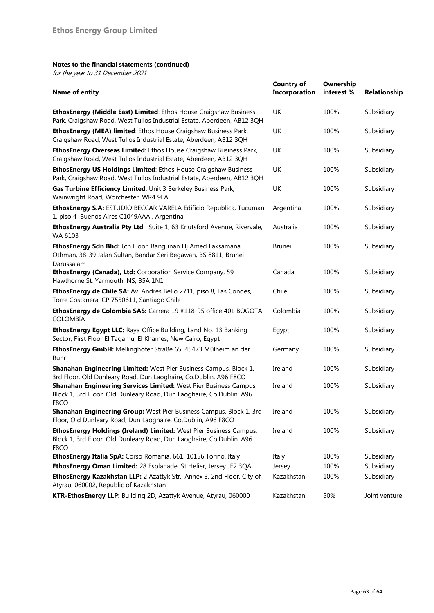for the year to 31 December 2021

| <b>Name of entity</b>                                                                                                                              | <b>Country of</b><br><b>Incorporation</b> | Ownership<br>interest % | Relationship  |
|----------------------------------------------------------------------------------------------------------------------------------------------------|-------------------------------------------|-------------------------|---------------|
| EthosEnergy (Middle East) Limited: Ethos House Craigshaw Business<br>Park, Craigshaw Road, West Tullos Industrial Estate, Aberdeen, AB12 3QH       | UK                                        | 100%                    | Subsidiary    |
| EthosEnergy (MEA) limited: Ethos House Craigshaw Business Park,<br>Craigshaw Road, West Tullos Industrial Estate, Aberdeen, AB12 3QH               | UK                                        | 100%                    | Subsidiary    |
| EthosEnergy Overseas Limited: Ethos House Craigshaw Business Park,<br>Craigshaw Road, West Tullos Industrial Estate, Aberdeen, AB12 3QH            | <b>UK</b>                                 | 100%                    | Subsidiary    |
| EthosEnergy US Holdings Limited: Ethos House Craigshaw Business<br>Park, Craigshaw Road, West Tullos Industrial Estate, Aberdeen, AB12 3QH         | UK                                        | 100%                    | Subsidiary    |
| Gas Turbine Efficiency Limited: Unit 3 Berkeley Business Park,<br>Wainwright Road, Worchester, WR4 9FA                                             | UK                                        | 100%                    | Subsidiary    |
| EthosEnergy S.A: ESTUDIO BECCAR VARELA Edificio Republica, Tucuman<br>1, piso 4 Buenos Aires C1049AAA, Argentina                                   | Argentina                                 | 100%                    | Subsidiary    |
| EthosEnergy Australia Pty Ltd : Suite 1, 63 Knutsford Avenue, Rivervale,<br>WA 6103                                                                | Australia                                 | 100%                    | Subsidiary    |
| EthosEnergy Sdn Bhd: 6th Floor, Bangunan Hj Amed Laksamana<br>Othman, 38-39 Jalan Sultan, Bandar Seri Begawan, BS 8811, Brunei<br>Darussalam       | <b>Brunei</b>                             | 100%                    | Subsidiary    |
| EthosEnergy (Canada), Ltd: Corporation Service Company, 59<br>Hawthorne St, Yarmouth, NS, B5A 1N1                                                  | Canada                                    | 100%                    | Subsidiary    |
| EthosEnergy de Chile SA: Av. Andres Bello 2711, piso 8, Las Condes,<br>Torre Costanera, CP 7550611, Santiago Chile                                 | Chile                                     | 100%                    | Subsidiary    |
| EthosEnergy de Colombia SAS: Carrera 19 #118-95 office 401 BOGOTA<br>COLOMBIA                                                                      | Colombia                                  | 100%                    | Subsidiary    |
| EthosEnergy Egypt LLC: Raya Office Building, Land No. 13 Banking<br>Sector, First Floor El Tagamu, El Khames, New Cairo, Egypt                     | Egypt                                     | 100%                    | Subsidiary    |
| EthosEnergy GmbH: Mellinghofer Straße 65, 45473 Mülheim an der<br>Ruhr                                                                             | Germany                                   | 100%                    | Subsidiary    |
| Shanahan Engineering Limited: West Pier Business Campus, Block 1,<br>3rd Floor, Old Dunleary Road, Dun Laoghaire, Co.Dublin, A96 F8CO              | Ireland                                   | 100%                    | Subsidiary    |
| Shanahan Engineering Services Limited: West Pier Business Campus,<br>Block 1, 3rd Floor, Old Dunleary Road, Dun Laoghaire, Co.Dublin, A96<br>F8CO  | Ireland                                   | 100%                    | Subsidiary    |
| Shanahan Engineering Group: West Pier Business Campus, Block 1, 3rd<br>Floor, Old Dunleary Road, Dun Laoghaire, Co.Dublin, A96 F8CO                | Ireland                                   | 100%                    | Subsidiary    |
| EthosEnergy Holdings (Ireland) Limited: West Pier Business Campus,<br>Block 1, 3rd Floor, Old Dunleary Road, Dun Laoghaire, Co.Dublin, A96<br>F8CO | Ireland                                   | 100%                    | Subsidiary    |
| EthosEnergy Italia SpA: Corso Romania, 661, 10156 Torino, Italy                                                                                    | Italy                                     | 100%                    | Subsidiary    |
| EthosEnergy Oman Limited: 28 Esplanade, St Helier, Jersey JE2 3QA                                                                                  | Jersey                                    | 100%                    | Subsidiary    |
| EthosEnergy Kazakhstan LLP: 2 Azattyk Str., Annex 3, 2nd Floor, City of<br>Atyrau, 060002, Republic of Kazakhstan                                  | Kazakhstan                                | 100%                    | Subsidiary    |
| KTR-EthosEnergy LLP: Building 2D, Azattyk Avenue, Atyrau, 060000                                                                                   | Kazakhstan                                | 50%                     | Joint venture |